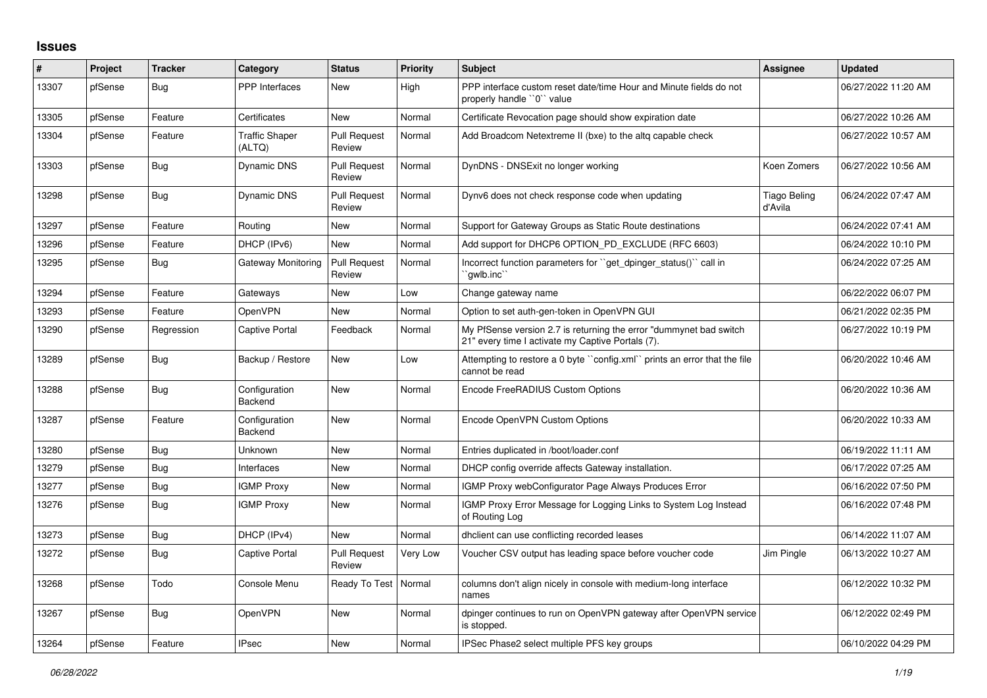## **Issues**

| #     | Project | <b>Tracker</b> | Category                        | <b>Status</b>                 | <b>Priority</b> | <b>Subject</b>                                                                                                          | <b>Assignee</b>                | Updated             |
|-------|---------|----------------|---------------------------------|-------------------------------|-----------------|-------------------------------------------------------------------------------------------------------------------------|--------------------------------|---------------------|
| 13307 | pfSense | Bug            | <b>PPP</b> Interfaces           | <b>New</b>                    | High            | PPP interface custom reset date/time Hour and Minute fields do not<br>properly handle "0" value                         |                                | 06/27/2022 11:20 AM |
| 13305 | pfSense | Feature        | Certificates                    | New                           | Normal          | Certificate Revocation page should show expiration date                                                                 |                                | 06/27/2022 10:26 AM |
| 13304 | pfSense | Feature        | <b>Traffic Shaper</b><br>(ALTQ) | <b>Pull Request</b><br>Review | Normal          | Add Broadcom Netextreme II (bxe) to the altg capable check                                                              |                                | 06/27/2022 10:57 AM |
| 13303 | pfSense | <b>Bug</b>     | Dynamic DNS                     | <b>Pull Request</b><br>Review | Normal          | DynDNS - DNSExit no longer working                                                                                      | Koen Zomers                    | 06/27/2022 10:56 AM |
| 13298 | pfSense | Bug            | <b>Dynamic DNS</b>              | <b>Pull Request</b><br>Review | Normal          | Dynv6 does not check response code when updating                                                                        | <b>Tiago Beling</b><br>d'Avila | 06/24/2022 07:47 AM |
| 13297 | pfSense | Feature        | Routing                         | <b>New</b>                    | Normal          | Support for Gateway Groups as Static Route destinations                                                                 |                                | 06/24/2022 07:41 AM |
| 13296 | pfSense | Feature        | DHCP (IPv6)                     | <b>New</b>                    | Normal          | Add support for DHCP6 OPTION PD EXCLUDE (RFC 6603)                                                                      |                                | 06/24/2022 10:10 PM |
| 13295 | pfSense | <b>Bug</b>     | Gateway Monitoring              | <b>Pull Request</b><br>Review | Normal          | Incorrect function parameters for "get dpinger status()" call in<br>`awlb.inc`                                          |                                | 06/24/2022 07:25 AM |
| 13294 | pfSense | Feature        | Gateways                        | New                           | Low             | Change gateway name                                                                                                     |                                | 06/22/2022 06:07 PM |
| 13293 | pfSense | Feature        | <b>OpenVPN</b>                  | <b>New</b>                    | Normal          | Option to set auth-gen-token in OpenVPN GUI                                                                             |                                | 06/21/2022 02:35 PM |
| 13290 | pfSense | Regression     | Captive Portal                  | Feedback                      | Normal          | My PfSense version 2.7 is returning the error "dummynet bad switch<br>21" every time I activate my Captive Portals (7). |                                | 06/27/2022 10:19 PM |
| 13289 | pfSense | Bug            | Backup / Restore                | New                           | Low             | Attempting to restore a 0 byte "config.xml" prints an error that the file<br>cannot be read                             |                                | 06/20/2022 10:46 AM |
| 13288 | pfSense | Bug            | Configuration<br>Backend        | New                           | Normal          | Encode FreeRADIUS Custom Options                                                                                        |                                | 06/20/2022 10:36 AM |
| 13287 | pfSense | Feature        | Configuration<br>Backend        | <b>New</b>                    | Normal          | Encode OpenVPN Custom Options                                                                                           |                                | 06/20/2022 10:33 AM |
| 13280 | pfSense | Bug            | Unknown                         | New                           | Normal          | Entries duplicated in /boot/loader.conf                                                                                 |                                | 06/19/2022 11:11 AM |
| 13279 | pfSense | Bug            | Interfaces                      | New                           | Normal          | DHCP config override affects Gateway installation.                                                                      |                                | 06/17/2022 07:25 AM |
| 13277 | pfSense | Bug            | <b>IGMP Proxy</b>               | <b>New</b>                    | Normal          | IGMP Proxy webConfigurator Page Always Produces Error                                                                   |                                | 06/16/2022 07:50 PM |
| 13276 | pfSense | <b>Bug</b>     | <b>IGMP Proxy</b>               | New                           | Normal          | IGMP Proxy Error Message for Logging Links to System Log Instead<br>of Routing Log                                      |                                | 06/16/2022 07:48 PM |
| 13273 | pfSense | <b>Bug</b>     | DHCP (IPv4)                     | <b>New</b>                    | Normal          | dholient can use conflicting recorded leases                                                                            |                                | 06/14/2022 11:07 AM |
| 13272 | pfSense | Bug            | Captive Portal                  | <b>Pull Request</b><br>Review | Very Low        | Voucher CSV output has leading space before voucher code                                                                | Jim Pingle                     | 06/13/2022 10:27 AM |
| 13268 | pfSense | Todo           | Console Menu                    | Ready To Test   Normal        |                 | columns don't align nicely in console with medium-long interface<br>names                                               |                                | 06/12/2022 10:32 PM |
| 13267 | pfSense | <b>Bug</b>     | OpenVPN                         | <b>New</b>                    | Normal          | dpinger continues to run on OpenVPN gateway after OpenVPN service<br>is stopped.                                        |                                | 06/12/2022 02:49 PM |
| 13264 | pfSense | Feature        | <b>IPsec</b>                    | New                           | Normal          | IPSec Phase2 select multiple PFS key groups                                                                             |                                | 06/10/2022 04:29 PM |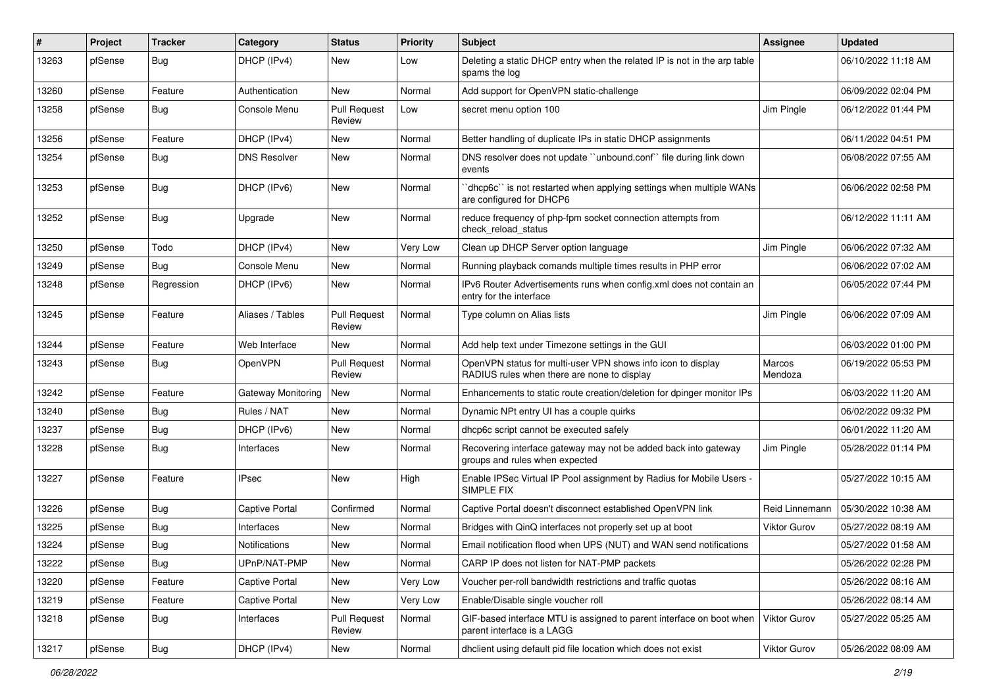| $\#$  | Project | <b>Tracker</b> | Category              | <b>Status</b>                 | Priority | <b>Subject</b>                                                                                              | <b>Assignee</b>   | <b>Updated</b>      |
|-------|---------|----------------|-----------------------|-------------------------------|----------|-------------------------------------------------------------------------------------------------------------|-------------------|---------------------|
| 13263 | pfSense | <b>Bug</b>     | DHCP (IPv4)           | New                           | Low      | Deleting a static DHCP entry when the related IP is not in the arp table<br>spams the log                   |                   | 06/10/2022 11:18 AM |
| 13260 | pfSense | Feature        | Authentication        | New                           | Normal   | Add support for OpenVPN static-challenge                                                                    |                   | 06/09/2022 02:04 PM |
| 13258 | pfSense | Bug            | Console Menu          | <b>Pull Request</b><br>Review | Low      | secret menu option 100                                                                                      | Jim Pingle        | 06/12/2022 01:44 PM |
| 13256 | pfSense | Feature        | DHCP (IPv4)           | New                           | Normal   | Better handling of duplicate IPs in static DHCP assignments                                                 |                   | 06/11/2022 04:51 PM |
| 13254 | pfSense | <b>Bug</b>     | <b>DNS Resolver</b>   | New                           | Normal   | DNS resolver does not update "unbound.conf" file during link down<br>events                                 |                   | 06/08/2022 07:55 AM |
| 13253 | pfSense | <b>Bug</b>     | DHCP (IPv6)           | New                           | Normal   | 'dhcp6c'' is not restarted when applying settings when multiple WANs<br>are configured for DHCP6            |                   | 06/06/2022 02:58 PM |
| 13252 | pfSense | <b>Bug</b>     | Upgrade               | New                           | Normal   | reduce frequency of php-fpm socket connection attempts from<br>check reload status                          |                   | 06/12/2022 11:11 AM |
| 13250 | pfSense | Todo           | DHCP (IPv4)           | <b>New</b>                    | Very Low | Clean up DHCP Server option language                                                                        | Jim Pingle        | 06/06/2022 07:32 AM |
| 13249 | pfSense | <b>Bug</b>     | Console Menu          | New                           | Normal   | Running playback comands multiple times results in PHP error                                                |                   | 06/06/2022 07:02 AM |
| 13248 | pfSense | Regression     | DHCP (IPv6)           | New                           | Normal   | IPv6 Router Advertisements runs when config.xml does not contain an<br>entry for the interface              |                   | 06/05/2022 07:44 PM |
| 13245 | pfSense | Feature        | Aliases / Tables      | <b>Pull Request</b><br>Review | Normal   | Type column on Alias lists                                                                                  | Jim Pingle        | 06/06/2022 07:09 AM |
| 13244 | pfSense | Feature        | Web Interface         | <b>New</b>                    | Normal   | Add help text under Timezone settings in the GUI                                                            |                   | 06/03/2022 01:00 PM |
| 13243 | pfSense | <b>Bug</b>     | OpenVPN               | <b>Pull Request</b><br>Review | Normal   | OpenVPN status for multi-user VPN shows info icon to display<br>RADIUS rules when there are none to display | Marcos<br>Mendoza | 06/19/2022 05:53 PM |
| 13242 | pfSense | Feature        | Gateway Monitoring    | New                           | Normal   | Enhancements to static route creation/deletion for dpinger monitor IPs                                      |                   | 06/03/2022 11:20 AM |
| 13240 | pfSense | Bug            | Rules / NAT           | New                           | Normal   | Dynamic NPt entry UI has a couple quirks                                                                    |                   | 06/02/2022 09:32 PM |
| 13237 | pfSense | <b>Bug</b>     | DHCP (IPv6)           | New                           | Normal   | dhcp6c script cannot be executed safely                                                                     |                   | 06/01/2022 11:20 AM |
| 13228 | pfSense | <b>Bug</b>     | Interfaces            | New                           | Normal   | Recovering interface gateway may not be added back into gateway<br>groups and rules when expected           | Jim Pingle        | 05/28/2022 01:14 PM |
| 13227 | pfSense | Feature        | <b>IPsec</b>          | New                           | High     | Enable IPSec Virtual IP Pool assignment by Radius for Mobile Users -<br>SIMPLE FIX                          |                   | 05/27/2022 10:15 AM |
| 13226 | pfSense | <b>Bug</b>     | <b>Captive Portal</b> | Confirmed                     | Normal   | Captive Portal doesn't disconnect established OpenVPN link                                                  | Reid Linnemann    | 05/30/2022 10:38 AM |
| 13225 | pfSense | Bug            | Interfaces            | New                           | Normal   | Bridges with QinQ interfaces not properly set up at boot                                                    | Viktor Gurov      | 05/27/2022 08:19 AM |
| 13224 | pfSense | <b>Bug</b>     | Notifications         | New                           | Normal   | Email notification flood when UPS (NUT) and WAN send notifications                                          |                   | 05/27/2022 01:58 AM |
| 13222 | pfSense | Bug            | UPnP/NAT-PMP          | New                           | Normal   | CARP IP does not listen for NAT-PMP packets                                                                 |                   | 05/26/2022 02:28 PM |
| 13220 | pfSense | Feature        | Captive Portal        | New                           | Very Low | Voucher per-roll bandwidth restrictions and traffic quotas                                                  |                   | 05/26/2022 08:16 AM |
| 13219 | pfSense | Feature        | Captive Portal        | New                           | Very Low | Enable/Disable single voucher roll                                                                          |                   | 05/26/2022 08:14 AM |
| 13218 | pfSense | <b>Bug</b>     | Interfaces            | <b>Pull Request</b><br>Review | Normal   | GIF-based interface MTU is assigned to parent interface on boot when<br>parent interface is a LAGG          | Viktor Gurov      | 05/27/2022 05:25 AM |
| 13217 | pfSense | <b>Bug</b>     | DHCP (IPv4)           | New                           | Normal   | dhclient using default pid file location which does not exist                                               | Viktor Gurov      | 05/26/2022 08:09 AM |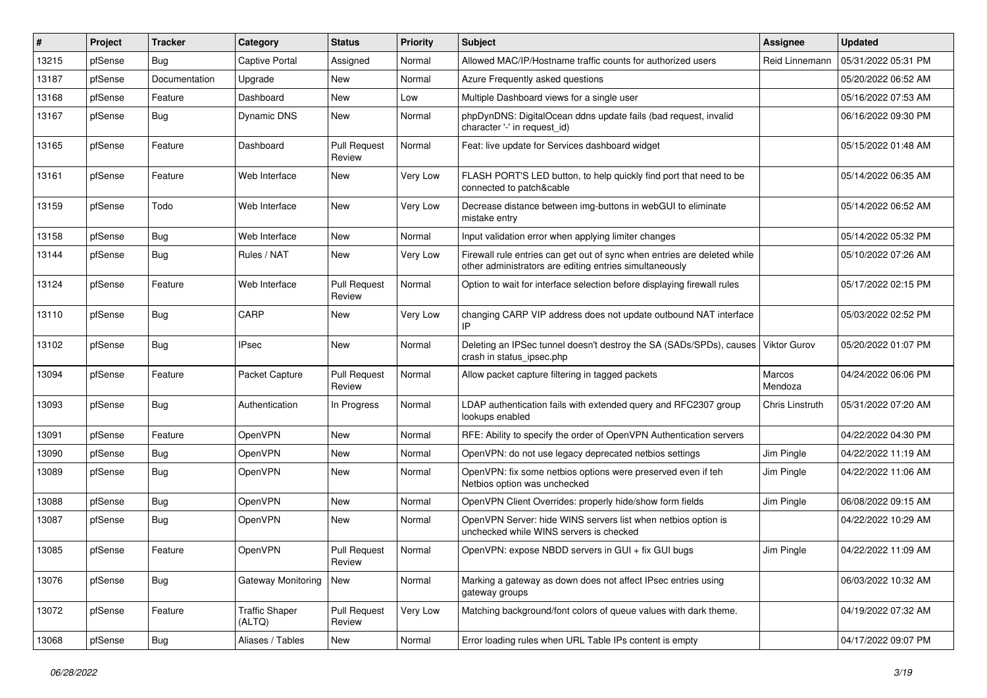| #     | Project | <b>Tracker</b> | Category                        | <b>Status</b>                 | <b>Priority</b> | <b>Subject</b>                                                                                                                      | <b>Assignee</b>        | <b>Updated</b>      |
|-------|---------|----------------|---------------------------------|-------------------------------|-----------------|-------------------------------------------------------------------------------------------------------------------------------------|------------------------|---------------------|
| 13215 | pfSense | Bug            | Captive Portal                  | Assigned                      | Normal          | Allowed MAC/IP/Hostname traffic counts for authorized users                                                                         | Reid Linnemann         | 05/31/2022 05:31 PM |
| 13187 | pfSense | Documentation  | Upgrade                         | New                           | Normal          | Azure Frequently asked questions                                                                                                    |                        | 05/20/2022 06:52 AM |
| 13168 | pfSense | Feature        | Dashboard                       | New                           | Low             | Multiple Dashboard views for a single user                                                                                          |                        | 05/16/2022 07:53 AM |
| 13167 | pfSense | Bug            | <b>Dynamic DNS</b>              | New                           | Normal          | phpDynDNS: DigitalOcean ddns update fails (bad request, invalid<br>character '-' in request id)                                     |                        | 06/16/2022 09:30 PM |
| 13165 | pfSense | Feature        | Dashboard                       | <b>Pull Request</b><br>Review | Normal          | Feat: live update for Services dashboard widget                                                                                     |                        | 05/15/2022 01:48 AM |
| 13161 | pfSense | Feature        | Web Interface                   | New                           | Very Low        | FLASH PORT'S LED button, to help quickly find port that need to be<br>connected to patch&cable                                      |                        | 05/14/2022 06:35 AM |
| 13159 | pfSense | Todo           | Web Interface                   | New                           | Very Low        | Decrease distance between img-buttons in webGUI to eliminate<br>mistake entry                                                       |                        | 05/14/2022 06:52 AM |
| 13158 | pfSense | <b>Bug</b>     | Web Interface                   | New                           | Normal          | Input validation error when applying limiter changes                                                                                |                        | 05/14/2022 05:32 PM |
| 13144 | pfSense | Bug            | Rules / NAT                     | New                           | Very Low        | Firewall rule entries can get out of sync when entries are deleted while<br>other administrators are editing entries simultaneously |                        | 05/10/2022 07:26 AM |
| 13124 | pfSense | Feature        | Web Interface                   | <b>Pull Request</b><br>Review | Normal          | Option to wait for interface selection before displaying firewall rules                                                             |                        | 05/17/2022 02:15 PM |
| 13110 | pfSense | <b>Bug</b>     | CARP                            | New                           | Very Low        | changing CARP VIP address does not update outbound NAT interface<br>IP                                                              |                        | 05/03/2022 02:52 PM |
| 13102 | pfSense | <b>Bug</b>     | <b>IPsec</b>                    | New                           | Normal          | Deleting an IPSec tunnel doesn't destroy the SA (SADs/SPDs), causes<br>crash in status ipsec.php                                    | Viktor Gurov           | 05/20/2022 01:07 PM |
| 13094 | pfSense | Feature        | Packet Capture                  | <b>Pull Request</b><br>Review | Normal          | Allow packet capture filtering in tagged packets                                                                                    | Marcos<br>Mendoza      | 04/24/2022 06:06 PM |
| 13093 | pfSense | <b>Bug</b>     | Authentication                  | In Progress                   | Normal          | LDAP authentication fails with extended query and RFC2307 group<br>lookups enabled                                                  | <b>Chris Linstruth</b> | 05/31/2022 07:20 AM |
| 13091 | pfSense | Feature        | OpenVPN                         | New                           | Normal          | RFE: Ability to specify the order of OpenVPN Authentication servers                                                                 |                        | 04/22/2022 04:30 PM |
| 13090 | pfSense | <b>Bug</b>     | OpenVPN                         | New                           | Normal          | OpenVPN: do not use legacy deprecated netbios settings                                                                              | Jim Pingle             | 04/22/2022 11:19 AM |
| 13089 | pfSense | <b>Bug</b>     | OpenVPN                         | New                           | Normal          | OpenVPN: fix some netbios options were preserved even if teh<br>Netbios option was unchecked                                        | Jim Pingle             | 04/22/2022 11:06 AM |
| 13088 | pfSense | <b>Bug</b>     | OpenVPN                         | New                           | Normal          | OpenVPN Client Overrides: properly hide/show form fields                                                                            | Jim Pingle             | 06/08/2022 09:15 AM |
| 13087 | pfSense | <b>Bug</b>     | OpenVPN                         | New                           | Normal          | OpenVPN Server: hide WINS servers list when netbios option is<br>unchecked while WINS servers is checked                            |                        | 04/22/2022 10:29 AM |
| 13085 | pfSense | Feature        | OpenVPN                         | <b>Pull Request</b><br>Review | Normal          | OpenVPN: expose NBDD servers in GUI + fix GUI bugs                                                                                  | Jim Pingle             | 04/22/2022 11:09 AM |
| 13076 | pfSense | <b>Bug</b>     | Gateway Monitoring              | New                           | Normal          | Marking a gateway as down does not affect IPsec entries using<br>gateway groups                                                     |                        | 06/03/2022 10:32 AM |
| 13072 | pfSense | Feature        | <b>Traffic Shaper</b><br>(ALTQ) | <b>Pull Request</b><br>Review | Very Low        | Matching background/font colors of queue values with dark theme.                                                                    |                        | 04/19/2022 07:32 AM |
| 13068 | pfSense | <b>Bug</b>     | Aliases / Tables                | New                           | Normal          | Error loading rules when URL Table IPs content is empty                                                                             |                        | 04/17/2022 09:07 PM |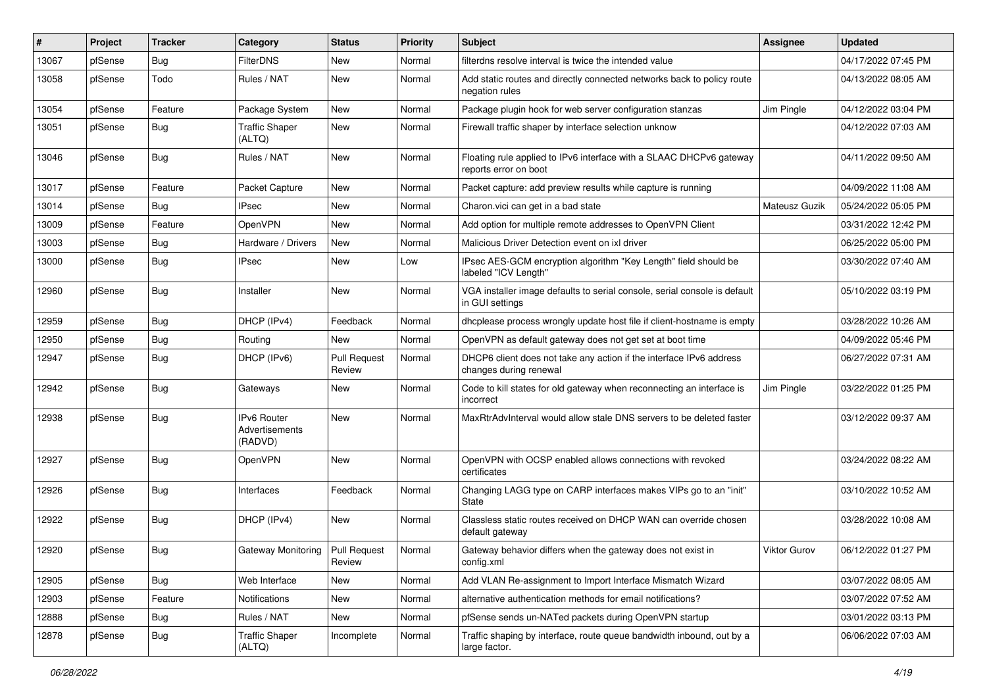| #     | Project | <b>Tracker</b> | Category                                        | <b>Status</b>                 | <b>Priority</b> | <b>Subject</b>                                                                                | <b>Assignee</b> | <b>Updated</b>      |
|-------|---------|----------------|-------------------------------------------------|-------------------------------|-----------------|-----------------------------------------------------------------------------------------------|-----------------|---------------------|
| 13067 | pfSense | <b>Bug</b>     | <b>FilterDNS</b>                                | New                           | Normal          | filterdns resolve interval is twice the intended value                                        |                 | 04/17/2022 07:45 PM |
| 13058 | pfSense | Todo           | Rules / NAT                                     | <b>New</b>                    | Normal          | Add static routes and directly connected networks back to policy route<br>negation rules      |                 | 04/13/2022 08:05 AM |
| 13054 | pfSense | Feature        | Package System                                  | New                           | Normal          | Package plugin hook for web server configuration stanzas                                      | Jim Pingle      | 04/12/2022 03:04 PM |
| 13051 | pfSense | <b>Bug</b>     | <b>Traffic Shaper</b><br>(ALTQ)                 | New                           | Normal          | Firewall traffic shaper by interface selection unknow                                         |                 | 04/12/2022 07:03 AM |
| 13046 | pfSense | <b>Bug</b>     | Rules / NAT                                     | New                           | Normal          | Floating rule applied to IPv6 interface with a SLAAC DHCPv6 gateway<br>reports error on boot  |                 | 04/11/2022 09:50 AM |
| 13017 | pfSense | Feature        | Packet Capture                                  | New                           | Normal          | Packet capture: add preview results while capture is running                                  |                 | 04/09/2022 11:08 AM |
| 13014 | pfSense | <b>Bug</b>     | <b>IPsec</b>                                    | <b>New</b>                    | Normal          | Charon.vici can get in a bad state                                                            | Mateusz Guzik   | 05/24/2022 05:05 PM |
| 13009 | pfSense | Feature        | OpenVPN                                         | New                           | Normal          | Add option for multiple remote addresses to OpenVPN Client                                    |                 | 03/31/2022 12:42 PM |
| 13003 | pfSense | <b>Bug</b>     | Hardware / Drivers                              | New                           | Normal          | Malicious Driver Detection event on ixl driver                                                |                 | 06/25/2022 05:00 PM |
| 13000 | pfSense | <b>Bug</b>     | <b>IPsec</b>                                    | New                           | Low             | IPsec AES-GCM encryption algorithm "Key Length" field should be<br>labeled "ICV Length"       |                 | 03/30/2022 07:40 AM |
| 12960 | pfSense | Bug            | Installer                                       | New                           | Normal          | VGA installer image defaults to serial console, serial console is default<br>in GUI settings  |                 | 05/10/2022 03:19 PM |
| 12959 | pfSense | <b>Bug</b>     | DHCP (IPv4)                                     | Feedback                      | Normal          | dhcplease process wrongly update host file if client-hostname is empty                        |                 | 03/28/2022 10:26 AM |
| 12950 | pfSense | <b>Bug</b>     | Routing                                         | New                           | Normal          | OpenVPN as default gateway does not get set at boot time                                      |                 | 04/09/2022 05:46 PM |
| 12947 | pfSense | Bug            | DHCP (IPv6)                                     | <b>Pull Request</b><br>Review | Normal          | DHCP6 client does not take any action if the interface IPv6 address<br>changes during renewal |                 | 06/27/2022 07:31 AM |
| 12942 | pfSense | <b>Bug</b>     | Gateways                                        | New                           | Normal          | Code to kill states for old gateway when reconnecting an interface is<br>incorrect            | Jim Pingle      | 03/22/2022 01:25 PM |
| 12938 | pfSense | <b>Bug</b>     | <b>IPv6 Router</b><br>Advertisements<br>(RADVD) | <b>New</b>                    | Normal          | MaxRtrAdvInterval would allow stale DNS servers to be deleted faster                          |                 | 03/12/2022 09:37 AM |
| 12927 | pfSense | <b>Bug</b>     | OpenVPN                                         | New                           | Normal          | OpenVPN with OCSP enabled allows connections with revoked<br>certificates                     |                 | 03/24/2022 08:22 AM |
| 12926 | pfSense | <b>Bug</b>     | Interfaces                                      | Feedback                      | Normal          | Changing LAGG type on CARP interfaces makes VIPs go to an "init"<br>State                     |                 | 03/10/2022 10:52 AM |
| 12922 | pfSense | <b>Bug</b>     | DHCP (IPv4)                                     | <b>New</b>                    | Normal          | Classless static routes received on DHCP WAN can override chosen<br>default gateway           |                 | 03/28/2022 10:08 AM |
| 12920 | pfSense | <b>Bug</b>     | Gateway Monitoring   Pull Request               | Review                        | Normal          | Gateway behavior differs when the gateway does not exist in<br>config.xml                     | Viktor Gurov    | 06/12/2022 01:27 PM |
| 12905 | pfSense | Bug            | Web Interface                                   | New                           | Normal          | Add VLAN Re-assignment to Import Interface Mismatch Wizard                                    |                 | 03/07/2022 08:05 AM |
| 12903 | pfSense | Feature        | Notifications                                   | New                           | Normal          | alternative authentication methods for email notifications?                                   |                 | 03/07/2022 07:52 AM |
| 12888 | pfSense | <b>Bug</b>     | Rules / NAT                                     | New                           | Normal          | pfSense sends un-NATed packets during OpenVPN startup                                         |                 | 03/01/2022 03:13 PM |
| 12878 | pfSense | Bug            | <b>Traffic Shaper</b><br>(ALTQ)                 | Incomplete                    | Normal          | Traffic shaping by interface, route queue bandwidth inbound, out by a<br>large factor.        |                 | 06/06/2022 07:03 AM |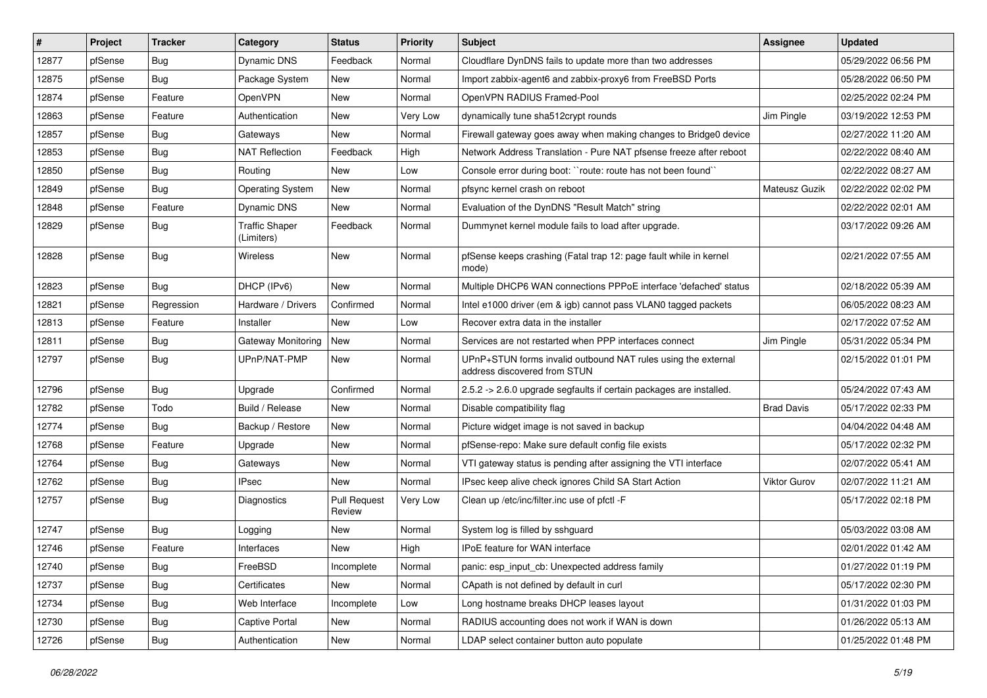| #     | Project | <b>Tracker</b> | Category                            | <b>Status</b>                 | <b>Priority</b> | <b>Subject</b>                                                                                | Assignee          | <b>Updated</b>      |
|-------|---------|----------------|-------------------------------------|-------------------------------|-----------------|-----------------------------------------------------------------------------------------------|-------------------|---------------------|
| 12877 | pfSense | <b>Bug</b>     | <b>Dynamic DNS</b>                  | Feedback                      | Normal          | Cloudflare DynDNS fails to update more than two addresses                                     |                   | 05/29/2022 06:56 PM |
| 12875 | pfSense | <b>Bug</b>     | Package System                      | New                           | Normal          | Import zabbix-agent6 and zabbix-proxy6 from FreeBSD Ports                                     |                   | 05/28/2022 06:50 PM |
| 12874 | pfSense | Feature        | OpenVPN                             | New                           | Normal          | OpenVPN RADIUS Framed-Pool                                                                    |                   | 02/25/2022 02:24 PM |
| 12863 | pfSense | Feature        | Authentication                      | New                           | Very Low        | dynamically tune sha512crypt rounds                                                           | Jim Pingle        | 03/19/2022 12:53 PM |
| 12857 | pfSense | <b>Bug</b>     | Gateways                            | New                           | Normal          | Firewall gateway goes away when making changes to Bridge0 device                              |                   | 02/27/2022 11:20 AM |
| 12853 | pfSense | <b>Bug</b>     | <b>NAT Reflection</b>               | Feedback                      | High            | Network Address Translation - Pure NAT pfsense freeze after reboot                            |                   | 02/22/2022 08:40 AM |
| 12850 | pfSense | <b>Bug</b>     | Routing                             | New                           | Low             | Console error during boot: "route: route has not been found"                                  |                   | 02/22/2022 08:27 AM |
| 12849 | pfSense | Bug            | <b>Operating System</b>             | New                           | Normal          | pfsync kernel crash on reboot                                                                 | Mateusz Guzik     | 02/22/2022 02:02 PM |
| 12848 | pfSense | Feature        | Dynamic DNS                         | New                           | Normal          | Evaluation of the DynDNS "Result Match" string                                                |                   | 02/22/2022 02:01 AM |
| 12829 | pfSense | <b>Bug</b>     | <b>Traffic Shaper</b><br>(Limiters) | Feedback                      | Normal          | Dummynet kernel module fails to load after upgrade.                                           |                   | 03/17/2022 09:26 AM |
| 12828 | pfSense | <b>Bug</b>     | Wireless                            | New                           | Normal          | pfSense keeps crashing (Fatal trap 12: page fault while in kernel<br>mode)                    |                   | 02/21/2022 07:55 AM |
| 12823 | pfSense | Bug            | DHCP (IPv6)                         | New                           | Normal          | Multiple DHCP6 WAN connections PPPoE interface 'defached' status                              |                   | 02/18/2022 05:39 AM |
| 12821 | pfSense | Regression     | Hardware / Drivers                  | Confirmed                     | Normal          | Intel e1000 driver (em & igb) cannot pass VLAN0 tagged packets                                |                   | 06/05/2022 08:23 AM |
| 12813 | pfSense | Feature        | Installer                           | <b>New</b>                    | Low             | Recover extra data in the installer                                                           |                   | 02/17/2022 07:52 AM |
| 12811 | pfSense | <b>Bug</b>     | Gateway Monitoring                  | New                           | Normal          | Services are not restarted when PPP interfaces connect                                        | Jim Pingle        | 05/31/2022 05:34 PM |
| 12797 | pfSense | <b>Bug</b>     | UPnP/NAT-PMP                        | New                           | Normal          | UPnP+STUN forms invalid outbound NAT rules using the external<br>address discovered from STUN |                   | 02/15/2022 01:01 PM |
| 12796 | pfSense | <b>Bug</b>     | Upgrade                             | Confirmed                     | Normal          | 2.5.2 -> 2.6.0 upgrade segfaults if certain packages are installed.                           |                   | 05/24/2022 07:43 AM |
| 12782 | pfSense | Todo           | Build / Release                     | New                           | Normal          | Disable compatibility flag                                                                    | <b>Brad Davis</b> | 05/17/2022 02:33 PM |
| 12774 | pfSense | <b>Bug</b>     | Backup / Restore                    | New                           | Normal          | Picture widget image is not saved in backup                                                   |                   | 04/04/2022 04:48 AM |
| 12768 | pfSense | Feature        | Upgrade                             | New                           | Normal          | pfSense-repo: Make sure default config file exists                                            |                   | 05/17/2022 02:32 PM |
| 12764 | pfSense | <b>Bug</b>     | Gateways                            | New                           | Normal          | VTI gateway status is pending after assigning the VTI interface                               |                   | 02/07/2022 05:41 AM |
| 12762 | pfSense | <b>Bug</b>     | <b>IPsec</b>                        | New                           | Normal          | IPsec keep alive check ignores Child SA Start Action                                          | Viktor Gurov      | 02/07/2022 11:21 AM |
| 12757 | pfSense | Bug            | Diagnostics                         | <b>Pull Request</b><br>Review | Very Low        | Clean up /etc/inc/filter.inc use of pfctl -F                                                  |                   | 05/17/2022 02:18 PM |
| 12747 | pfSense | <b>Bug</b>     | Logging                             | New                           | Normal          | System log is filled by sshguard                                                              |                   | 05/03/2022 03:08 AM |
| 12746 | pfSense | Feature        | Interfaces                          | New                           | High            | <b>IPoE</b> feature for WAN interface                                                         |                   | 02/01/2022 01:42 AM |
| 12740 | pfSense | <b>Bug</b>     | FreeBSD                             | Incomplete                    | Normal          | panic: esp input cb: Unexpected address family                                                |                   | 01/27/2022 01:19 PM |
| 12737 | pfSense | <b>Bug</b>     | Certificates                        | New                           | Normal          | CApath is not defined by default in curl                                                      |                   | 05/17/2022 02:30 PM |
| 12734 | pfSense | <b>Bug</b>     | Web Interface                       | Incomplete                    | Low             | Long hostname breaks DHCP leases layout                                                       |                   | 01/31/2022 01:03 PM |
| 12730 | pfSense | <b>Bug</b>     | Captive Portal                      | New                           | Normal          | RADIUS accounting does not work if WAN is down                                                |                   | 01/26/2022 05:13 AM |
| 12726 | pfSense | Bug            | Authentication                      | New                           | Normal          | LDAP select container button auto populate                                                    |                   | 01/25/2022 01:48 PM |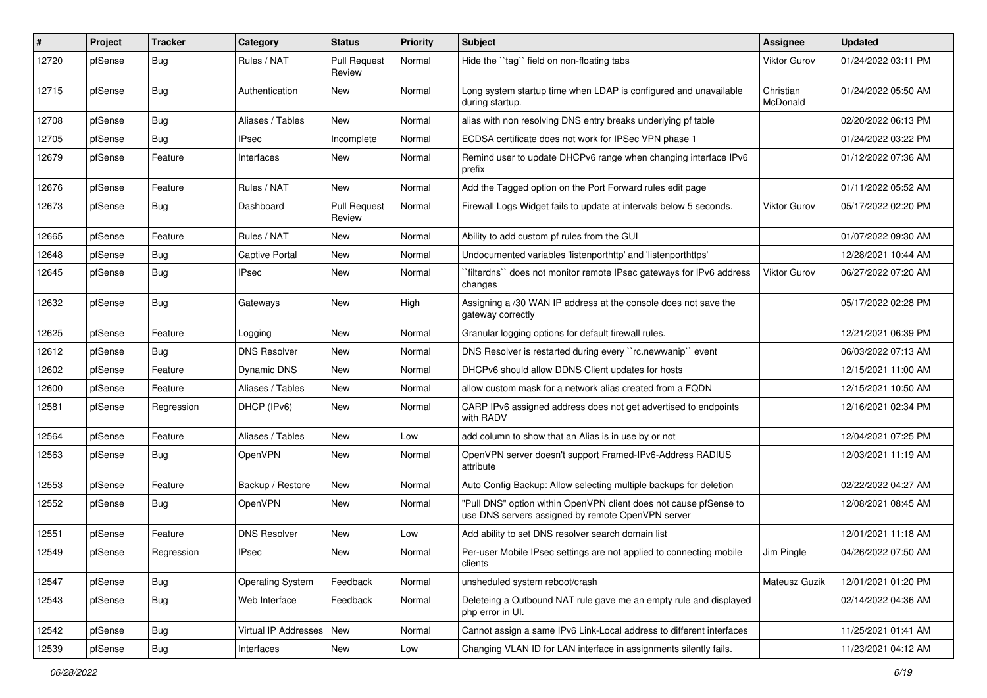| $\#$  | Project | <b>Tracker</b> | Category                   | <b>Status</b>                 | <b>Priority</b> | <b>Subject</b>                                                                                                         | Assignee              | <b>Updated</b>      |
|-------|---------|----------------|----------------------------|-------------------------------|-----------------|------------------------------------------------------------------------------------------------------------------------|-----------------------|---------------------|
| 12720 | pfSense | <b>Bug</b>     | Rules / NAT                | <b>Pull Request</b><br>Review | Normal          | Hide the "tag" field on non-floating tabs                                                                              | <b>Viktor Gurov</b>   | 01/24/2022 03:11 PM |
| 12715 | pfSense | <b>Bug</b>     | Authentication             | New                           | Normal          | Long system startup time when LDAP is configured and unavailable<br>during startup.                                    | Christian<br>McDonald | 01/24/2022 05:50 AM |
| 12708 | pfSense | Bug            | Aliases / Tables           | New                           | Normal          | alias with non resolving DNS entry breaks underlying pf table                                                          |                       | 02/20/2022 06:13 PM |
| 12705 | pfSense | <b>Bug</b>     | IPsec                      | Incomplete                    | Normal          | ECDSA certificate does not work for IPSec VPN phase 1                                                                  |                       | 01/24/2022 03:22 PM |
| 12679 | pfSense | Feature        | Interfaces                 | New                           | Normal          | Remind user to update DHCPv6 range when changing interface IPv6<br>prefix                                              |                       | 01/12/2022 07:36 AM |
| 12676 | pfSense | Feature        | Rules / NAT                | New                           | Normal          | Add the Tagged option on the Port Forward rules edit page                                                              |                       | 01/11/2022 05:52 AM |
| 12673 | pfSense | <b>Bug</b>     | Dashboard                  | <b>Pull Request</b><br>Review | Normal          | Firewall Logs Widget fails to update at intervals below 5 seconds.                                                     | Viktor Gurov          | 05/17/2022 02:20 PM |
| 12665 | pfSense | Feature        | Rules / NAT                | New                           | Normal          | Ability to add custom pf rules from the GUI                                                                            |                       | 01/07/2022 09:30 AM |
| 12648 | pfSense | Bug            | Captive Portal             | New                           | Normal          | Undocumented variables 'listenporthttp' and 'listenporthttps'                                                          |                       | 12/28/2021 10:44 AM |
| 12645 | pfSense | Bug            | IPsec                      | New                           | Normal          | filterdns" does not monitor remote IPsec gateways for IPv6 address<br>changes                                          | Viktor Gurov          | 06/27/2022 07:20 AM |
| 12632 | pfSense | <b>Bug</b>     | Gateways                   | New                           | High            | Assigning a /30 WAN IP address at the console does not save the<br>gateway correctly                                   |                       | 05/17/2022 02:28 PM |
| 12625 | pfSense | Feature        | Logging                    | <b>New</b>                    | Normal          | Granular logging options for default firewall rules.                                                                   |                       | 12/21/2021 06:39 PM |
| 12612 | pfSense | <b>Bug</b>     | <b>DNS Resolver</b>        | New                           | Normal          | DNS Resolver is restarted during every "rc.newwanip" event                                                             |                       | 06/03/2022 07:13 AM |
| 12602 | pfSense | Feature        | Dynamic DNS                | New                           | Normal          | DHCPv6 should allow DDNS Client updates for hosts                                                                      |                       | 12/15/2021 11:00 AM |
| 12600 | pfSense | Feature        | Aliases / Tables           | New                           | Normal          | allow custom mask for a network alias created from a FQDN                                                              |                       | 12/15/2021 10:50 AM |
| 12581 | pfSense | Regression     | DHCP (IPv6)                | New                           | Normal          | CARP IPv6 assigned address does not get advertised to endpoints<br>with RADV                                           |                       | 12/16/2021 02:34 PM |
| 12564 | pfSense | Feature        | Aliases / Tables           | New                           | Low             | add column to show that an Alias is in use by or not                                                                   |                       | 12/04/2021 07:25 PM |
| 12563 | pfSense | <b>Bug</b>     | OpenVPN                    | New                           | Normal          | OpenVPN server doesn't support Framed-IPv6-Address RADIUS<br>attribute                                                 |                       | 12/03/2021 11:19 AM |
| 12553 | pfSense | Feature        | Backup / Restore           | New                           | Normal          | Auto Config Backup: Allow selecting multiple backups for deletion                                                      |                       | 02/22/2022 04:27 AM |
| 12552 | pfSense | Bug            | OpenVPN                    | New                           | Normal          | "Pull DNS" option within OpenVPN client does not cause pfSense to<br>use DNS servers assigned by remote OpenVPN server |                       | 12/08/2021 08:45 AM |
| 12551 | pfSense | Feature        | <b>DNS Resolver</b>        | New                           | Low             | Add ability to set DNS resolver search domain list                                                                     |                       | 12/01/2021 11:18 AM |
| 12549 | pfSense | Regression     | <b>IPsec</b>               | New                           | Normal          | Per-user Mobile IPsec settings are not applied to connecting mobile<br>clients                                         | Jim Pingle            | 04/26/2022 07:50 AM |
| 12547 | pfSense | Bug            | <b>Operating System</b>    | Feedback                      | Normal          | unsheduled system reboot/crash                                                                                         | Mateusz Guzik         | 12/01/2021 01:20 PM |
| 12543 | pfSense | <b>Bug</b>     | Web Interface              | Feedback                      | Normal          | Deleteing a Outbound NAT rule gave me an empty rule and displayed<br>php error in UI.                                  |                       | 02/14/2022 04:36 AM |
| 12542 | pfSense | <b>Bug</b>     | Virtual IP Addresses   New |                               | Normal          | Cannot assign a same IPv6 Link-Local address to different interfaces                                                   |                       | 11/25/2021 01:41 AM |
| 12539 | pfSense | <b>Bug</b>     | Interfaces                 | New                           | Low             | Changing VLAN ID for LAN interface in assignments silently fails.                                                      |                       | 11/23/2021 04:12 AM |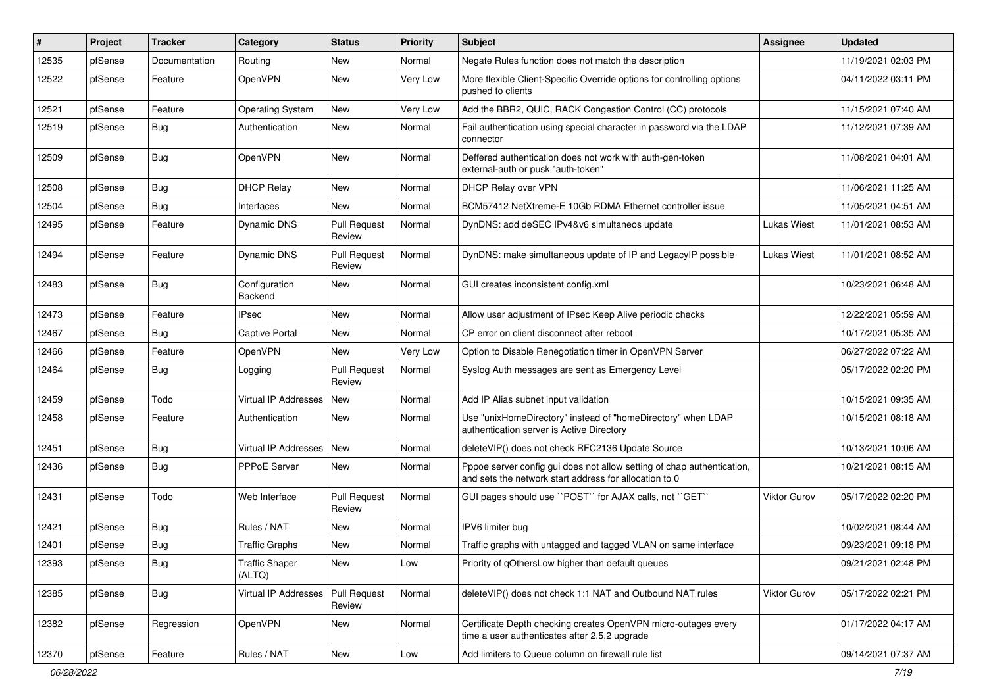| #     | Project | <b>Tracker</b> | Category                        | <b>Status</b>                 | <b>Priority</b> | <b>Subject</b>                                                                                                                   | <b>Assignee</b>     | <b>Updated</b>      |
|-------|---------|----------------|---------------------------------|-------------------------------|-----------------|----------------------------------------------------------------------------------------------------------------------------------|---------------------|---------------------|
| 12535 | pfSense | Documentation  | Routing                         | New                           | Normal          | Negate Rules function does not match the description                                                                             |                     | 11/19/2021 02:03 PM |
| 12522 | pfSense | Feature        | OpenVPN                         | New                           | Very Low        | More flexible Client-Specific Override options for controlling options<br>pushed to clients                                      |                     | 04/11/2022 03:11 PM |
| 12521 | pfSense | Feature        | <b>Operating System</b>         | New                           | Very Low        | Add the BBR2, QUIC, RACK Congestion Control (CC) protocols                                                                       |                     | 11/15/2021 07:40 AM |
| 12519 | pfSense | <b>Bug</b>     | Authentication                  | New                           | Normal          | Fail authentication using special character in password via the LDAP<br>connector                                                |                     | 11/12/2021 07:39 AM |
| 12509 | pfSense | <b>Bug</b>     | OpenVPN                         | New                           | Normal          | Deffered authentication does not work with auth-gen-token<br>external-auth or pusk "auth-token"                                  |                     | 11/08/2021 04:01 AM |
| 12508 | pfSense | Bug            | <b>DHCP Relay</b>               | New                           | Normal          | DHCP Relay over VPN                                                                                                              |                     | 11/06/2021 11:25 AM |
| 12504 | pfSense | <b>Bug</b>     | Interfaces                      | New                           | Normal          | BCM57412 NetXtreme-E 10Gb RDMA Ethernet controller issue                                                                         |                     | 11/05/2021 04:51 AM |
| 12495 | pfSense | Feature        | Dynamic DNS                     | <b>Pull Request</b><br>Review | Normal          | DynDNS: add deSEC IPv4&v6 simultaneos update                                                                                     | <b>Lukas Wiest</b>  | 11/01/2021 08:53 AM |
| 12494 | pfSense | Feature        | Dynamic DNS                     | <b>Pull Request</b><br>Review | Normal          | DynDNS: make simultaneous update of IP and LegacyIP possible                                                                     | <b>Lukas Wiest</b>  | 11/01/2021 08:52 AM |
| 12483 | pfSense | <b>Bug</b>     | Configuration<br>Backend        | New                           | Normal          | GUI creates inconsistent config.xml                                                                                              |                     | 10/23/2021 06:48 AM |
| 12473 | pfSense | Feature        | <b>IPsec</b>                    | New                           | Normal          | Allow user adjustment of IPsec Keep Alive periodic checks                                                                        |                     | 12/22/2021 05:59 AM |
| 12467 | pfSense | Bug            | <b>Captive Portal</b>           | New                           | Normal          | CP error on client disconnect after reboot                                                                                       |                     | 10/17/2021 05:35 AM |
| 12466 | pfSense | Feature        | OpenVPN                         | New                           | Very Low        | Option to Disable Renegotiation timer in OpenVPN Server                                                                          |                     | 06/27/2022 07:22 AM |
| 12464 | pfSense | <b>Bug</b>     | Logging                         | <b>Pull Request</b><br>Review | Normal          | Syslog Auth messages are sent as Emergency Level                                                                                 |                     | 05/17/2022 02:20 PM |
| 12459 | pfSense | Todo           | <b>Virtual IP Addresses</b>     | New                           | Normal          | Add IP Alias subnet input validation                                                                                             |                     | 10/15/2021 09:35 AM |
| 12458 | pfSense | Feature        | Authentication                  | New                           | Normal          | Use "unixHomeDirectory" instead of "homeDirectory" when LDAP<br>authentication server is Active Directory                        |                     | 10/15/2021 08:18 AM |
| 12451 | pfSense | Bug            | Virtual IP Addresses            | New                           | Normal          | deleteVIP() does not check RFC2136 Update Source                                                                                 |                     | 10/13/2021 10:06 AM |
| 12436 | pfSense | <b>Bug</b>     | PPPoE Server                    | New                           | Normal          | Pppoe server config gui does not allow setting of chap authentication,<br>and sets the network start address for allocation to 0 |                     | 10/21/2021 08:15 AM |
| 12431 | pfSense | Todo           | Web Interface                   | <b>Pull Request</b><br>Review | Normal          | GUI pages should use "POST" for AJAX calls, not "GET"                                                                            | <b>Viktor Gurov</b> | 05/17/2022 02:20 PM |
| 12421 | pfSense | <b>Bug</b>     | Rules / NAT                     | New                           | Normal          | IPV6 limiter bug                                                                                                                 |                     | 10/02/2021 08:44 AM |
| 12401 | pfSense | <b>Bug</b>     | <b>Traffic Graphs</b>           | New                           | Normal          | Traffic graphs with untagged and tagged VLAN on same interface                                                                   |                     | 09/23/2021 09:18 PM |
| 12393 | pfSense | Bug            | <b>Traffic Shaper</b><br>(ALTQ) | New                           | Low             | Priority of gOthersLow higher than default queues                                                                                |                     | 09/21/2021 02:48 PM |
| 12385 | pfSense | <b>Bug</b>     | Virtual IP Addresses            | Pull Request<br>Review        | Normal          | deleteVIP() does not check 1:1 NAT and Outbound NAT rules                                                                        | Viktor Gurov        | 05/17/2022 02:21 PM |
| 12382 | pfSense | Regression     | OpenVPN                         | New                           | Normal          | Certificate Depth checking creates OpenVPN micro-outages every<br>time a user authenticates after 2.5.2 upgrade                  |                     | 01/17/2022 04:17 AM |
| 12370 | pfSense | Feature        | Rules / NAT                     | New                           | Low             | Add limiters to Queue column on firewall rule list                                                                               |                     | 09/14/2021 07:37 AM |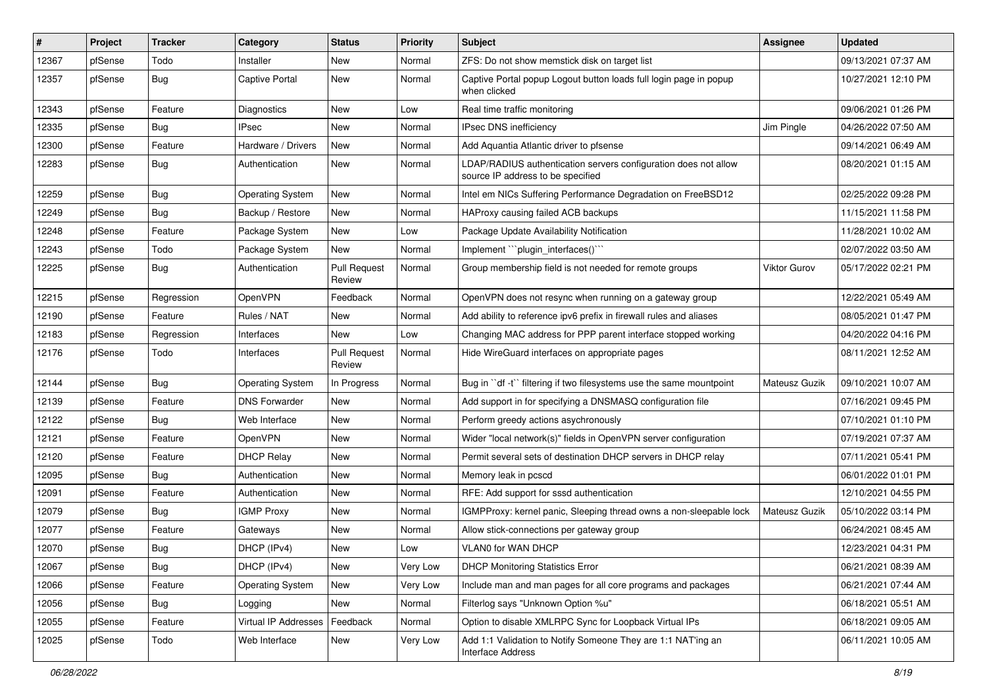| #     | Project | <b>Tracker</b> | Category                | <b>Status</b>                 | <b>Priority</b> | Subject                                                                                              | <b>Assignee</b> | <b>Updated</b>      |
|-------|---------|----------------|-------------------------|-------------------------------|-----------------|------------------------------------------------------------------------------------------------------|-----------------|---------------------|
| 12367 | pfSense | Todo           | Installer               | New                           | Normal          | ZFS: Do not show memstick disk on target list                                                        |                 | 09/13/2021 07:37 AM |
| 12357 | pfSense | <b>Bug</b>     | Captive Portal          | New                           | Normal          | Captive Portal popup Logout button loads full login page in popup<br>when clicked                    |                 | 10/27/2021 12:10 PM |
| 12343 | pfSense | Feature        | <b>Diagnostics</b>      | New                           | Low             | Real time traffic monitoring                                                                         |                 | 09/06/2021 01:26 PM |
| 12335 | pfSense | Bug            | <b>IPsec</b>            | New                           | Normal          | IPsec DNS inefficiency                                                                               | Jim Pingle      | 04/26/2022 07:50 AM |
| 12300 | pfSense | Feature        | Hardware / Drivers      | New                           | Normal          | Add Aquantia Atlantic driver to pfsense                                                              |                 | 09/14/2021 06:49 AM |
| 12283 | pfSense | <b>Bug</b>     | Authentication          | New                           | Normal          | LDAP/RADIUS authentication servers configuration does not allow<br>source IP address to be specified |                 | 08/20/2021 01:15 AM |
| 12259 | pfSense | <b>Bug</b>     | <b>Operating System</b> | New                           | Normal          | Intel em NICs Suffering Performance Degradation on FreeBSD12                                         |                 | 02/25/2022 09:28 PM |
| 12249 | pfSense | <b>Bug</b>     | Backup / Restore        | New                           | Normal          | HAProxy causing failed ACB backups                                                                   |                 | 11/15/2021 11:58 PM |
| 12248 | pfSense | Feature        | Package System          | New                           | Low             | Package Update Availability Notification                                                             |                 | 11/28/2021 10:02 AM |
| 12243 | pfSense | Todo           | Package System          | New                           | Normal          | Implement "``plugin_interfaces()```                                                                  |                 | 02/07/2022 03:50 AM |
| 12225 | pfSense | <b>Bug</b>     | Authentication          | <b>Pull Request</b><br>Review | Normal          | Group membership field is not needed for remote groups                                               | Viktor Gurov    | 05/17/2022 02:21 PM |
| 12215 | pfSense | Regression     | OpenVPN                 | Feedback                      | Normal          | OpenVPN does not resync when running on a gateway group                                              |                 | 12/22/2021 05:49 AM |
| 12190 | pfSense | Feature        | Rules / NAT             | <b>New</b>                    | Normal          | Add ability to reference ipv6 prefix in firewall rules and aliases                                   |                 | 08/05/2021 01:47 PM |
| 12183 | pfSense | Regression     | Interfaces              | New                           | Low             | Changing MAC address for PPP parent interface stopped working                                        |                 | 04/20/2022 04:16 PM |
| 12176 | pfSense | Todo           | Interfaces              | <b>Pull Request</b><br>Review | Normal          | Hide WireGuard interfaces on appropriate pages                                                       |                 | 08/11/2021 12:52 AM |
| 12144 | pfSense | <b>Bug</b>     | <b>Operating System</b> | In Progress                   | Normal          | Bug in "df -t" filtering if two filesystems use the same mountpoint                                  | Mateusz Guzik   | 09/10/2021 10:07 AM |
| 12139 | pfSense | Feature        | <b>DNS Forwarder</b>    | New                           | Normal          | Add support in for specifying a DNSMASQ configuration file                                           |                 | 07/16/2021 09:45 PM |
| 12122 | pfSense | <b>Bug</b>     | Web Interface           | New                           | Normal          | Perform greedy actions asychronously                                                                 |                 | 07/10/2021 01:10 PM |
| 12121 | pfSense | Feature        | OpenVPN                 | New                           | Normal          | Wider "local network(s)" fields in OpenVPN server configuration                                      |                 | 07/19/2021 07:37 AM |
| 12120 | pfSense | Feature        | <b>DHCP Relay</b>       | New                           | Normal          | Permit several sets of destination DHCP servers in DHCP relay                                        |                 | 07/11/2021 05:41 PM |
| 12095 | pfSense | <b>Bug</b>     | Authentication          | New                           | Normal          | Memory leak in pcscd                                                                                 |                 | 06/01/2022 01:01 PM |
| 12091 | pfSense | Feature        | Authentication          | New                           | Normal          | RFE: Add support for sssd authentication                                                             |                 | 12/10/2021 04:55 PM |
| 12079 | pfSense | <b>Bug</b>     | <b>IGMP Proxy</b>       | New                           | Normal          | IGMPProxy: kernel panic, Sleeping thread owns a non-sleepable lock                                   | Mateusz Guzik   | 05/10/2022 03:14 PM |
| 12077 | pfSense | Feature        | Gateways                | New                           | Normal          | Allow stick-connections per gateway group                                                            |                 | 06/24/2021 08:45 AM |
| 12070 | pfSense | <b>Bug</b>     | DHCP (IPv4)             | New                           | Low             | VLAN0 for WAN DHCP                                                                                   |                 | 12/23/2021 04:31 PM |
| 12067 | pfSense | <b>Bug</b>     | DHCP (IPv4)             | New                           | Very Low        | <b>DHCP Monitoring Statistics Error</b>                                                              |                 | 06/21/2021 08:39 AM |
| 12066 | pfSense | Feature        | <b>Operating System</b> | New                           | Very Low        | Include man and man pages for all core programs and packages                                         |                 | 06/21/2021 07:44 AM |
| 12056 | pfSense | <b>Bug</b>     | Logging                 | New                           | Normal          | Filterlog says "Unknown Option %u"                                                                   |                 | 06/18/2021 05:51 AM |
| 12055 | pfSense | Feature        | Virtual IP Addresses    | Feedback                      | Normal          | Option to disable XMLRPC Sync for Loopback Virtual IPs                                               |                 | 06/18/2021 09:05 AM |
| 12025 | pfSense | Todo           | Web Interface           | New                           | Very Low        | Add 1:1 Validation to Notify Someone They are 1:1 NAT'ing an<br>Interface Address                    |                 | 06/11/2021 10:05 AM |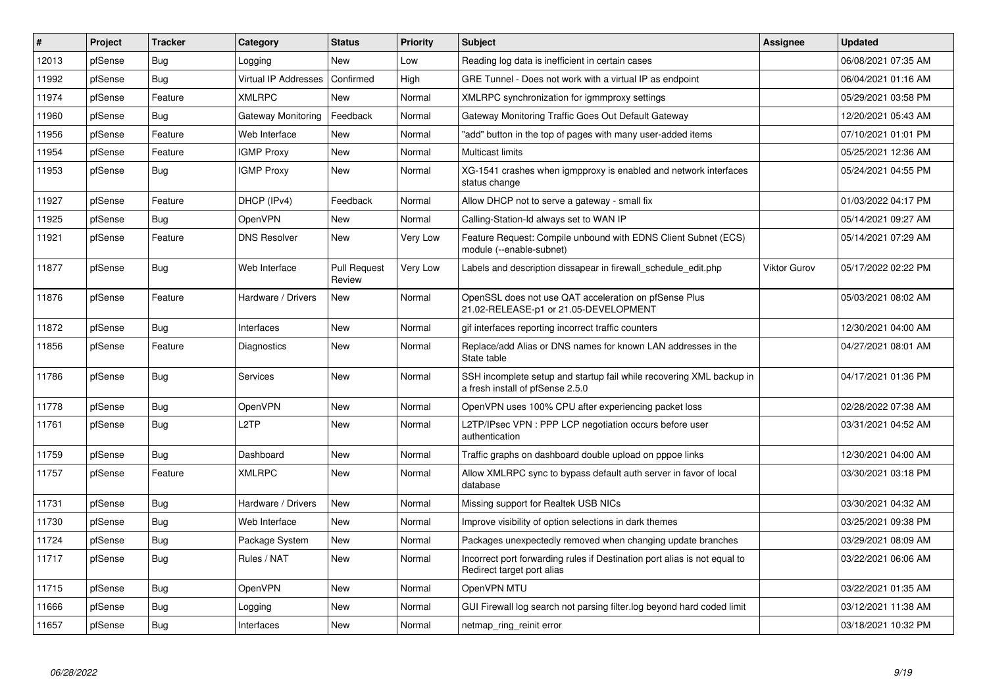| #     | Project | <b>Tracker</b> | Category             | <b>Status</b>                 | <b>Priority</b> | <b>Subject</b>                                                                                           | <b>Assignee</b>     | <b>Updated</b>      |
|-------|---------|----------------|----------------------|-------------------------------|-----------------|----------------------------------------------------------------------------------------------------------|---------------------|---------------------|
| 12013 | pfSense | Bug            | Logging              | <b>New</b>                    | Low             | Reading log data is inefficient in certain cases                                                         |                     | 06/08/2021 07:35 AM |
| 11992 | pfSense | Bug            | Virtual IP Addresses | Confirmed                     | High            | GRE Tunnel - Does not work with a virtual IP as endpoint                                                 |                     | 06/04/2021 01:16 AM |
| 11974 | pfSense | Feature        | XMLRPC               | <b>New</b>                    | Normal          | XMLRPC synchronization for igmmproxy settings                                                            |                     | 05/29/2021 03:58 PM |
| 11960 | pfSense | Bug            | Gateway Monitoring   | Feedback                      | Normal          | Gateway Monitoring Traffic Goes Out Default Gateway                                                      |                     | 12/20/2021 05:43 AM |
| 11956 | pfSense | Feature        | Web Interface        | New                           | Normal          | "add" button in the top of pages with many user-added items                                              |                     | 07/10/2021 01:01 PM |
| 11954 | pfSense | Feature        | <b>IGMP Proxy</b>    | New                           | Normal          | Multicast limits                                                                                         |                     | 05/25/2021 12:36 AM |
| 11953 | pfSense | <b>Bug</b>     | <b>IGMP Proxy</b>    | <b>New</b>                    | Normal          | XG-1541 crashes when igmpproxy is enabled and network interfaces<br>status change                        |                     | 05/24/2021 04:55 PM |
| 11927 | pfSense | Feature        | DHCP (IPv4)          | Feedback                      | Normal          | Allow DHCP not to serve a gateway - small fix                                                            |                     | 01/03/2022 04:17 PM |
| 11925 | pfSense | <b>Bug</b>     | <b>OpenVPN</b>       | <b>New</b>                    | Normal          | Calling-Station-Id always set to WAN IP                                                                  |                     | 05/14/2021 09:27 AM |
| 11921 | pfSense | Feature        | <b>DNS Resolver</b>  | New                           | Very Low        | Feature Request: Compile unbound with EDNS Client Subnet (ECS)<br>module (--enable-subnet)               |                     | 05/14/2021 07:29 AM |
| 11877 | pfSense | Bug            | Web Interface        | <b>Pull Request</b><br>Review | Very Low        | Labels and description dissapear in firewall schedule edit.php                                           | <b>Viktor Gurov</b> | 05/17/2022 02:22 PM |
| 11876 | pfSense | Feature        | Hardware / Drivers   | New                           | Normal          | OpenSSL does not use QAT acceleration on pfSense Plus<br>21.02-RELEASE-p1 or 21.05-DEVELOPMENT           |                     | 05/03/2021 08:02 AM |
| 11872 | pfSense | <b>Bug</b>     | Interfaces           | New                           | Normal          | gif interfaces reporting incorrect traffic counters                                                      |                     | 12/30/2021 04:00 AM |
| 11856 | pfSense | Feature        | Diagnostics          | New                           | Normal          | Replace/add Alias or DNS names for known LAN addresses in the<br>State table                             |                     | 04/27/2021 08:01 AM |
| 11786 | pfSense | <b>Bug</b>     | Services             | New                           | Normal          | SSH incomplete setup and startup fail while recovering XML backup in<br>a fresh install of pfSense 2.5.0 |                     | 04/17/2021 01:36 PM |
| 11778 | pfSense | <b>Bug</b>     | <b>OpenVPN</b>       | New                           | Normal          | OpenVPN uses 100% CPU after experiencing packet loss                                                     |                     | 02/28/2022 07:38 AM |
| 11761 | pfSense | Bug            | L2TP                 | New                           | Normal          | L2TP/IPsec VPN: PPP LCP negotiation occurs before user<br>authentication                                 |                     | 03/31/2021 04:52 AM |
| 11759 | pfSense | Bug            | Dashboard            | New                           | Normal          | Traffic graphs on dashboard double upload on pppoe links                                                 |                     | 12/30/2021 04:00 AM |
| 11757 | pfSense | Feature        | <b>XMLRPC</b>        | New                           | Normal          | Allow XMLRPC sync to bypass default auth server in favor of local<br>database                            |                     | 03/30/2021 03:18 PM |
| 11731 | pfSense | <b>Bug</b>     | Hardware / Drivers   | New                           | Normal          | Missing support for Realtek USB NICs                                                                     |                     | 03/30/2021 04:32 AM |
| 11730 | pfSense | <b>Bug</b>     | Web Interface        | New                           | Normal          | Improve visibility of option selections in dark themes                                                   |                     | 03/25/2021 09:38 PM |
| 11724 | pfSense | <b>Bug</b>     | Package System       | New                           | Normal          | Packages unexpectedly removed when changing update branches                                              |                     | 03/29/2021 08:09 AM |
| 11717 | pfSense | <b>Bug</b>     | Rules / NAT          | New                           | Normal          | Incorrect port forwarding rules if Destination port alias is not equal to<br>Redirect target port alias  |                     | 03/22/2021 06:06 AM |
| 11715 | pfSense | <b>Bug</b>     | <b>OpenVPN</b>       | New                           | Normal          | OpenVPN MTU                                                                                              |                     | 03/22/2021 01:35 AM |
| 11666 | pfSense | Bug            | Logging              | New                           | Normal          | GUI Firewall log search not parsing filter.log beyond hard coded limit                                   |                     | 03/12/2021 11:38 AM |
| 11657 | pfSense | <b>Bug</b>     | Interfaces           | <b>New</b>                    | Normal          | netmap_ring_reinit error                                                                                 |                     | 03/18/2021 10:32 PM |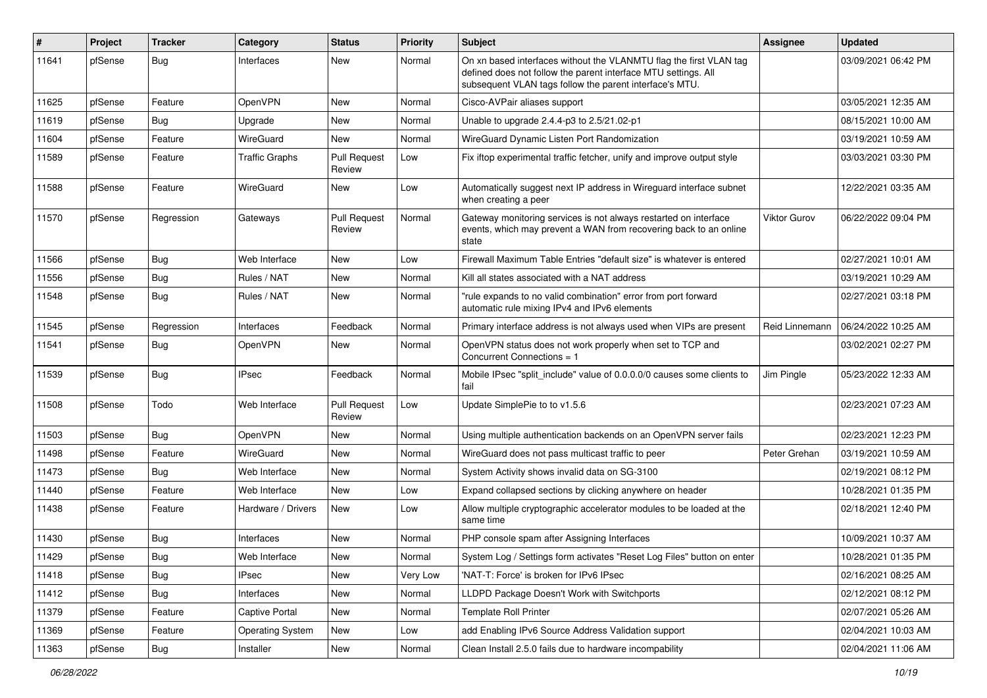| #     | Project | <b>Tracker</b> | Category                | <b>Status</b>                 | <b>Priority</b> | <b>Subject</b>                                                                                                                                                                                  | <b>Assignee</b> | <b>Updated</b>      |
|-------|---------|----------------|-------------------------|-------------------------------|-----------------|-------------------------------------------------------------------------------------------------------------------------------------------------------------------------------------------------|-----------------|---------------------|
| 11641 | pfSense | <b>Bug</b>     | Interfaces              | New                           | Normal          | On xn based interfaces without the VLANMTU flag the first VLAN tag<br>defined does not follow the parent interface MTU settings. All<br>subsequent VLAN tags follow the parent interface's MTU. |                 | 03/09/2021 06:42 PM |
| 11625 | pfSense | Feature        | OpenVPN                 | New                           | Normal          | Cisco-AVPair aliases support                                                                                                                                                                    |                 | 03/05/2021 12:35 AM |
| 11619 | pfSense | <b>Bug</b>     | Upgrade                 | New                           | Normal          | Unable to upgrade 2.4.4-p3 to 2.5/21.02-p1                                                                                                                                                      |                 | 08/15/2021 10:00 AM |
| 11604 | pfSense | Feature        | WireGuard               | New                           | Normal          | WireGuard Dynamic Listen Port Randomization                                                                                                                                                     |                 | 03/19/2021 10:59 AM |
| 11589 | pfSense | Feature        | <b>Traffic Graphs</b>   | <b>Pull Request</b><br>Review | Low             | Fix iftop experimental traffic fetcher, unify and improve output style                                                                                                                          |                 | 03/03/2021 03:30 PM |
| 11588 | pfSense | Feature        | WireGuard               | New                           | Low             | Automatically suggest next IP address in Wireguard interface subnet<br>when creating a peer                                                                                                     |                 | 12/22/2021 03:35 AM |
| 11570 | pfSense | Regression     | Gateways                | <b>Pull Request</b><br>Review | Normal          | Gateway monitoring services is not always restarted on interface<br>events, which may prevent a WAN from recovering back to an online<br>state                                                  | Viktor Gurov    | 06/22/2022 09:04 PM |
| 11566 | pfSense | Bug            | Web Interface           | New                           | Low             | Firewall Maximum Table Entries "default size" is whatever is entered                                                                                                                            |                 | 02/27/2021 10:01 AM |
| 11556 | pfSense | Bug            | Rules / NAT             | New                           | Normal          | Kill all states associated with a NAT address                                                                                                                                                   |                 | 03/19/2021 10:29 AM |
| 11548 | pfSense | <b>Bug</b>     | Rules / NAT             | New                           | Normal          | "rule expands to no valid combination" error from port forward<br>automatic rule mixing IPv4 and IPv6 elements                                                                                  |                 | 02/27/2021 03:18 PM |
| 11545 | pfSense | Regression     | Interfaces              | Feedback                      | Normal          | Primary interface address is not always used when VIPs are present                                                                                                                              | Reid Linnemann  | 06/24/2022 10:25 AM |
| 11541 | pfSense | <b>Bug</b>     | OpenVPN                 | New                           | Normal          | OpenVPN status does not work properly when set to TCP and<br>Concurrent Connections = 1                                                                                                         |                 | 03/02/2021 02:27 PM |
| 11539 | pfSense | <b>Bug</b>     | IPsec                   | Feedback                      | Normal          | Mobile IPsec "split_include" value of 0.0.0.0/0 causes some clients to<br>fail                                                                                                                  | Jim Pingle      | 05/23/2022 12:33 AM |
| 11508 | pfSense | Todo           | Web Interface           | <b>Pull Request</b><br>Review | Low             | Update SimplePie to to v1.5.6                                                                                                                                                                   |                 | 02/23/2021 07:23 AM |
| 11503 | pfSense | Bug            | OpenVPN                 | New                           | Normal          | Using multiple authentication backends on an OpenVPN server fails                                                                                                                               |                 | 02/23/2021 12:23 PM |
| 11498 | pfSense | Feature        | WireGuard               | New                           | Normal          | WireGuard does not pass multicast traffic to peer                                                                                                                                               | Peter Grehan    | 03/19/2021 10:59 AM |
| 11473 | pfSense | <b>Bug</b>     | Web Interface           | <b>New</b>                    | Normal          | System Activity shows invalid data on SG-3100                                                                                                                                                   |                 | 02/19/2021 08:12 PM |
| 11440 | pfSense | Feature        | Web Interface           | New                           | Low             | Expand collapsed sections by clicking anywhere on header                                                                                                                                        |                 | 10/28/2021 01:35 PM |
| 11438 | pfSense | Feature        | Hardware / Drivers      | New                           | Low             | Allow multiple cryptographic accelerator modules to be loaded at the<br>same time                                                                                                               |                 | 02/18/2021 12:40 PM |
| 11430 | pfSense | Bug            | Interfaces              | New                           | Normal          | PHP console spam after Assigning Interfaces                                                                                                                                                     |                 | 10/09/2021 10:37 AM |
| 11429 | pfSense | <b>Bug</b>     | Web Interface           | New                           | Normal          | System Log / Settings form activates "Reset Log Files" button on enter                                                                                                                          |                 | 10/28/2021 01:35 PM |
| 11418 | pfSense | Bug            | IPsec                   | New                           | Very Low        | 'NAT-T: Force' is broken for IPv6 IPsec                                                                                                                                                         |                 | 02/16/2021 08:25 AM |
| 11412 | pfSense | <b>Bug</b>     | Interfaces              | New                           | Normal          | LLDPD Package Doesn't Work with Switchports                                                                                                                                                     |                 | 02/12/2021 08:12 PM |
| 11379 | pfSense | Feature        | Captive Portal          | New                           | Normal          | <b>Template Roll Printer</b>                                                                                                                                                                    |                 | 02/07/2021 05:26 AM |
| 11369 | pfSense | Feature        | <b>Operating System</b> | New                           | Low             | add Enabling IPv6 Source Address Validation support                                                                                                                                             |                 | 02/04/2021 10:03 AM |
| 11363 | pfSense | Bug            | Installer               | New                           | Normal          | Clean Install 2.5.0 fails due to hardware incompability                                                                                                                                         |                 | 02/04/2021 11:06 AM |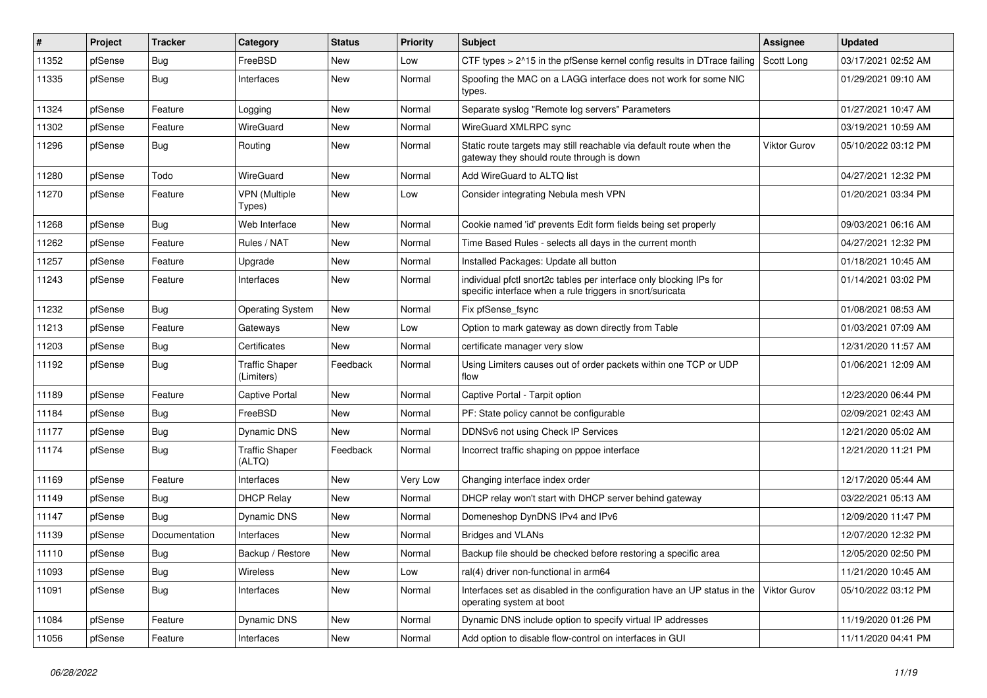| #     | Project | <b>Tracker</b> | Category                            | <b>Status</b> | Priority | Subject                                                                                                                          | <b>Assignee</b> | <b>Updated</b>      |
|-------|---------|----------------|-------------------------------------|---------------|----------|----------------------------------------------------------------------------------------------------------------------------------|-----------------|---------------------|
| 11352 | pfSense | Bug            | FreeBSD                             | New           | Low      | CTF types > 2^15 in the pfSense kernel config results in DTrace failing                                                          | Scott Long      | 03/17/2021 02:52 AM |
| 11335 | pfSense | Bug            | Interfaces                          | New           | Normal   | Spoofing the MAC on a LAGG interface does not work for some NIC<br>types.                                                        |                 | 01/29/2021 09:10 AM |
| 11324 | pfSense | Feature        | Logging                             | New           | Normal   | Separate syslog "Remote log servers" Parameters                                                                                  |                 | 01/27/2021 10:47 AM |
| 11302 | pfSense | Feature        | WireGuard                           | New           | Normal   | WireGuard XMLRPC sync                                                                                                            |                 | 03/19/2021 10:59 AM |
| 11296 | pfSense | <b>Bug</b>     | Routing                             | New           | Normal   | Static route targets may still reachable via default route when the<br>gateway they should route through is down                 | Viktor Gurov    | 05/10/2022 03:12 PM |
| 11280 | pfSense | Todo           | WireGuard                           | <b>New</b>    | Normal   | Add WireGuard to ALTQ list                                                                                                       |                 | 04/27/2021 12:32 PM |
| 11270 | pfSense | Feature        | <b>VPN</b> (Multiple<br>Types)      | New           | Low      | Consider integrating Nebula mesh VPN                                                                                             |                 | 01/20/2021 03:34 PM |
| 11268 | pfSense | Bug            | Web Interface                       | New           | Normal   | Cookie named 'id' prevents Edit form fields being set properly                                                                   |                 | 09/03/2021 06:16 AM |
| 11262 | pfSense | Feature        | Rules / NAT                         | New           | Normal   | Time Based Rules - selects all days in the current month                                                                         |                 | 04/27/2021 12:32 PM |
| 11257 | pfSense | Feature        | Upgrade                             | New           | Normal   | Installed Packages: Update all button                                                                                            |                 | 01/18/2021 10:45 AM |
| 11243 | pfSense | Feature        | Interfaces                          | New           | Normal   | individual pfctl snort2c tables per interface only blocking IPs for<br>specific interface when a rule triggers in snort/suricata |                 | 01/14/2021 03:02 PM |
| 11232 | pfSense | Bug            | <b>Operating System</b>             | New           | Normal   | Fix pfSense_fsync                                                                                                                |                 | 01/08/2021 08:53 AM |
| 11213 | pfSense | Feature        | Gateways                            | New           | Low      | Option to mark gateway as down directly from Table                                                                               |                 | 01/03/2021 07:09 AM |
| 11203 | pfSense | <b>Bug</b>     | Certificates                        | <b>New</b>    | Normal   | certificate manager very slow                                                                                                    |                 | 12/31/2020 11:57 AM |
| 11192 | pfSense | <b>Bug</b>     | <b>Traffic Shaper</b><br>(Limiters) | Feedback      | Normal   | Using Limiters causes out of order packets within one TCP or UDP<br>flow                                                         |                 | 01/06/2021 12:09 AM |
| 11189 | pfSense | Feature        | <b>Captive Portal</b>               | New           | Normal   | Captive Portal - Tarpit option                                                                                                   |                 | 12/23/2020 06:44 PM |
| 11184 | pfSense | <b>Bug</b>     | FreeBSD                             | New           | Normal   | PF: State policy cannot be configurable                                                                                          |                 | 02/09/2021 02:43 AM |
| 11177 | pfSense | <b>Bug</b>     | Dynamic DNS                         | New           | Normal   | DDNSv6 not using Check IP Services                                                                                               |                 | 12/21/2020 05:02 AM |
| 11174 | pfSense | <b>Bug</b>     | <b>Traffic Shaper</b><br>(ALTQ)     | Feedback      | Normal   | Incorrect traffic shaping on pppoe interface                                                                                     |                 | 12/21/2020 11:21 PM |
| 11169 | pfSense | Feature        | Interfaces                          | <b>New</b>    | Very Low | Changing interface index order                                                                                                   |                 | 12/17/2020 05:44 AM |
| 11149 | pfSense | Bug            | <b>DHCP Relay</b>                   | New           | Normal   | DHCP relay won't start with DHCP server behind gateway                                                                           |                 | 03/22/2021 05:13 AM |
| 11147 | pfSense | <b>Bug</b>     | Dynamic DNS                         | New           | Normal   | Domeneshop DynDNS IPv4 and IPv6                                                                                                  |                 | 12/09/2020 11:47 PM |
| 11139 | pfSense | Documentation  | Interfaces                          | New           | Normal   | <b>Bridges and VLANs</b>                                                                                                         |                 | 12/07/2020 12:32 PM |
| 11110 | pfSense | Bug            | Backup / Restore                    | New           | Normal   | Backup file should be checked before restoring a specific area                                                                   |                 | 12/05/2020 02:50 PM |
| 11093 | pfSense | <b>Bug</b>     | Wireless                            | New           | Low      | ral(4) driver non-functional in arm64                                                                                            |                 | 11/21/2020 10:45 AM |
| 11091 | pfSense | <b>Bug</b>     | Interfaces                          | New           | Normal   | Interfaces set as disabled in the configuration have an UP status in the<br>operating system at boot                             | Viktor Gurov    | 05/10/2022 03:12 PM |
| 11084 | pfSense | Feature        | Dynamic DNS                         | New           | Normal   | Dynamic DNS include option to specify virtual IP addresses                                                                       |                 | 11/19/2020 01:26 PM |
| 11056 | pfSense | Feature        | Interfaces                          | New           | Normal   | Add option to disable flow-control on interfaces in GUI                                                                          |                 | 11/11/2020 04:41 PM |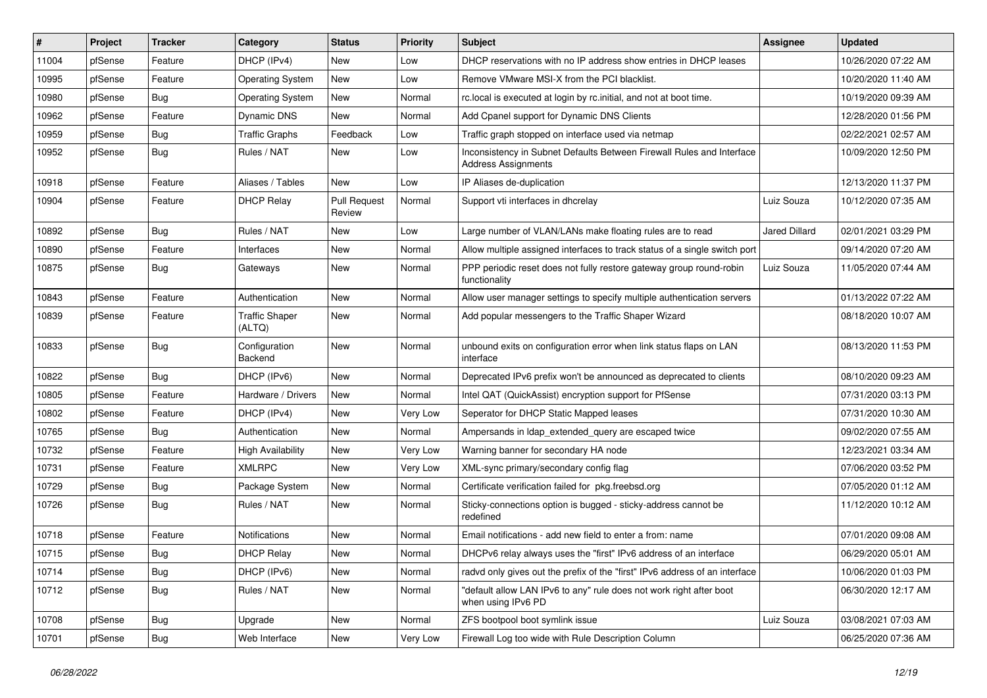| #     | Project | <b>Tracker</b> | Category                        | <b>Status</b>                 | Priority | Subject                                                                                             | <b>Assignee</b>      | <b>Updated</b>      |
|-------|---------|----------------|---------------------------------|-------------------------------|----------|-----------------------------------------------------------------------------------------------------|----------------------|---------------------|
| 11004 | pfSense | Feature        | DHCP (IPv4)                     | New                           | Low      | DHCP reservations with no IP address show entries in DHCP leases                                    |                      | 10/26/2020 07:22 AM |
| 10995 | pfSense | Feature        | <b>Operating System</b>         | New                           | Low      | Remove VMware MSI-X from the PCI blacklist.                                                         |                      | 10/20/2020 11:40 AM |
| 10980 | pfSense | Bug            | <b>Operating System</b>         | New                           | Normal   | rc. local is executed at login by rc. initial, and not at boot time.                                |                      | 10/19/2020 09:39 AM |
| 10962 | pfSense | Feature        | Dynamic DNS                     | New                           | Normal   | Add Cpanel support for Dynamic DNS Clients                                                          |                      | 12/28/2020 01:56 PM |
| 10959 | pfSense | <b>Bug</b>     | <b>Traffic Graphs</b>           | Feedback                      | Low      | Traffic graph stopped on interface used via netmap                                                  |                      | 02/22/2021 02:57 AM |
| 10952 | pfSense | <b>Bug</b>     | Rules / NAT                     | New                           | Low      | Inconsistency in Subnet Defaults Between Firewall Rules and Interface<br><b>Address Assignments</b> |                      | 10/09/2020 12:50 PM |
| 10918 | pfSense | Feature        | Aliases / Tables                | <b>New</b>                    | Low      | IP Aliases de-duplication                                                                           |                      | 12/13/2020 11:37 PM |
| 10904 | pfSense | Feature        | <b>DHCP Relay</b>               | <b>Pull Request</b><br>Review | Normal   | Support vti interfaces in dhcrelay                                                                  | Luiz Souza           | 10/12/2020 07:35 AM |
| 10892 | pfSense | <b>Bug</b>     | Rules / NAT                     | New                           | Low      | Large number of VLAN/LANs make floating rules are to read                                           | <b>Jared Dillard</b> | 02/01/2021 03:29 PM |
| 10890 | pfSense | Feature        | Interfaces                      | New                           | Normal   | Allow multiple assigned interfaces to track status of a single switch port                          |                      | 09/14/2020 07:20 AM |
| 10875 | pfSense | Bug            | Gateways                        | New                           | Normal   | PPP periodic reset does not fully restore gateway group round-robin<br>functionality                | Luiz Souza           | 11/05/2020 07:44 AM |
| 10843 | pfSense | Feature        | Authentication                  | New                           | Normal   | Allow user manager settings to specify multiple authentication servers                              |                      | 01/13/2022 07:22 AM |
| 10839 | pfSense | Feature        | <b>Traffic Shaper</b><br>(ALTQ) | <b>New</b>                    | Normal   | Add popular messengers to the Traffic Shaper Wizard                                                 |                      | 08/18/2020 10:07 AM |
| 10833 | pfSense | Bug            | Configuration<br>Backend        | New                           | Normal   | unbound exits on configuration error when link status flaps on LAN<br>interface                     |                      | 08/13/2020 11:53 PM |
| 10822 | pfSense | Bug            | DHCP (IPv6)                     | <b>New</b>                    | Normal   | Deprecated IPv6 prefix won't be announced as deprecated to clients                                  |                      | 08/10/2020 09:23 AM |
| 10805 | pfSense | Feature        | Hardware / Drivers              | New                           | Normal   | Intel QAT (QuickAssist) encryption support for PfSense                                              |                      | 07/31/2020 03:13 PM |
| 10802 | pfSense | Feature        | DHCP (IPv4)                     | New                           | Very Low | Seperator for DHCP Static Mapped leases                                                             |                      | 07/31/2020 10:30 AM |
| 10765 | pfSense | <b>Bug</b>     | Authentication                  | New                           | Normal   | Ampersands in Idap extended query are escaped twice                                                 |                      | 09/02/2020 07:55 AM |
| 10732 | pfSense | Feature        | <b>High Availability</b>        | New                           | Very Low | Warning banner for secondary HA node                                                                |                      | 12/23/2021 03:34 AM |
| 10731 | pfSense | Feature        | <b>XMLRPC</b>                   | New                           | Very Low | XML-sync primary/secondary config flag                                                              |                      | 07/06/2020 03:52 PM |
| 10729 | pfSense | <b>Bug</b>     | Package System                  | <b>New</b>                    | Normal   | Certificate verification failed for pkg.freebsd.org                                                 |                      | 07/05/2020 01:12 AM |
| 10726 | pfSense | <b>Bug</b>     | Rules / NAT                     | New                           | Normal   | Sticky-connections option is bugged - sticky-address cannot be<br>redefined                         |                      | 11/12/2020 10:12 AM |
| 10718 | pfSense | Feature        | <b>Notifications</b>            | New                           | Normal   | Email notifications - add new field to enter a from: name                                           |                      | 07/01/2020 09:08 AM |
| 10715 | pfSense | Bug            | DHCP Relay                      | New                           | Normal   | DHCPv6 relay always uses the "first" IPv6 address of an interface                                   |                      | 06/29/2020 05:01 AM |
| 10714 | pfSense | <b>Bug</b>     | DHCP (IPv6)                     | New                           | Normal   | radvd only gives out the prefix of the "first" IPv6 address of an interface                         |                      | 10/06/2020 01:03 PM |
| 10712 | pfSense | <b>Bug</b>     | Rules / NAT                     | New                           | Normal   | "default allow LAN IPv6 to any" rule does not work right after boot<br>when using IPv6 PD           |                      | 06/30/2020 12:17 AM |
| 10708 | pfSense | Bug            | Upgrade                         | New                           | Normal   | ZFS bootpool boot symlink issue                                                                     | Luiz Souza           | 03/08/2021 07:03 AM |
| 10701 | pfSense | Bug            | Web Interface                   | New                           | Very Low | Firewall Log too wide with Rule Description Column                                                  |                      | 06/25/2020 07:36 AM |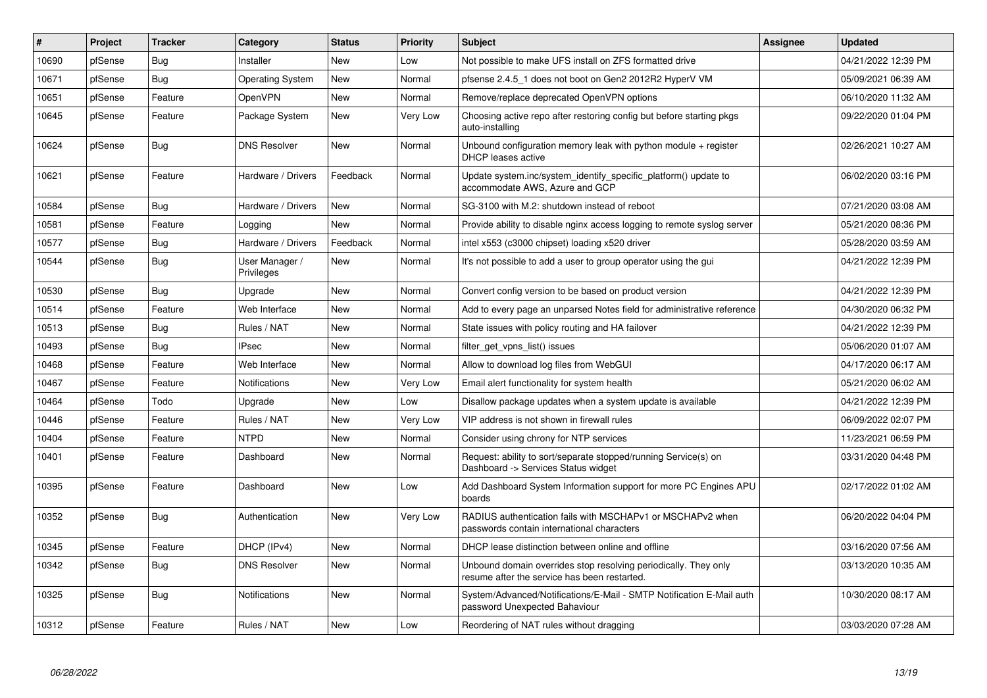| #     | Project | <b>Tracker</b> | Category                     | <b>Status</b> | <b>Priority</b> | <b>Subject</b>                                                                                                  | Assignee | <b>Updated</b>      |
|-------|---------|----------------|------------------------------|---------------|-----------------|-----------------------------------------------------------------------------------------------------------------|----------|---------------------|
| 10690 | pfSense | <b>Bug</b>     | Installer                    | New           | Low             | Not possible to make UFS install on ZFS formatted drive                                                         |          | 04/21/2022 12:39 PM |
| 10671 | pfSense | <b>Bug</b>     | <b>Operating System</b>      | <b>New</b>    | Normal          | pfsense 2.4.5 1 does not boot on Gen2 2012R2 HyperV VM                                                          |          | 05/09/2021 06:39 AM |
| 10651 | pfSense | Feature        | OpenVPN                      | <b>New</b>    | Normal          | Remove/replace deprecated OpenVPN options                                                                       |          | 06/10/2020 11:32 AM |
| 10645 | pfSense | Feature        | Package System               | <b>New</b>    | Very Low        | Choosing active repo after restoring config but before starting pkgs<br>auto-installing                         |          | 09/22/2020 01:04 PM |
| 10624 | pfSense | <b>Bug</b>     | <b>DNS Resolver</b>          | <b>New</b>    | Normal          | Unbound configuration memory leak with python module $+$ register<br><b>DHCP</b> leases active                  |          | 02/26/2021 10:27 AM |
| 10621 | pfSense | Feature        | Hardware / Drivers           | Feedback      | Normal          | Update system.inc/system_identify_specific_platform() update to<br>accommodate AWS, Azure and GCP               |          | 06/02/2020 03:16 PM |
| 10584 | pfSense | <b>Bug</b>     | Hardware / Drivers           | <b>New</b>    | Normal          | SG-3100 with M.2: shutdown instead of reboot                                                                    |          | 07/21/2020 03:08 AM |
| 10581 | pfSense | Feature        | Logging                      | <b>New</b>    | Normal          | Provide ability to disable nginx access logging to remote syslog server                                         |          | 05/21/2020 08:36 PM |
| 10577 | pfSense | Bug            | Hardware / Drivers           | Feedback      | Normal          | intel x553 (c3000 chipset) loading x520 driver                                                                  |          | 05/28/2020 03:59 AM |
| 10544 | pfSense | Bug            | User Manager /<br>Privileges | New           | Normal          | It's not possible to add a user to group operator using the gui                                                 |          | 04/21/2022 12:39 PM |
| 10530 | pfSense | Bug            | Upgrade                      | New           | Normal          | Convert config version to be based on product version                                                           |          | 04/21/2022 12:39 PM |
| 10514 | pfSense | Feature        | Web Interface                | <b>New</b>    | Normal          | Add to every page an unparsed Notes field for administrative reference                                          |          | 04/30/2020 06:32 PM |
| 10513 | pfSense | Bug            | Rules / NAT                  | <b>New</b>    | Normal          | State issues with policy routing and HA failover                                                                |          | 04/21/2022 12:39 PM |
| 10493 | pfSense | <b>Bug</b>     | <b>IPsec</b>                 | <b>New</b>    | Normal          | filter get vpns list() issues                                                                                   |          | 05/06/2020 01:07 AM |
| 10468 | pfSense | Feature        | Web Interface                | <b>New</b>    | Normal          | Allow to download log files from WebGUI                                                                         |          | 04/17/2020 06:17 AM |
| 10467 | pfSense | Feature        | <b>Notifications</b>         | <b>New</b>    | Very Low        | Email alert functionality for system health                                                                     |          | 05/21/2020 06:02 AM |
| 10464 | pfSense | Todo           | Upgrade                      | <b>New</b>    | Low             | Disallow package updates when a system update is available                                                      |          | 04/21/2022 12:39 PM |
| 10446 | pfSense | Feature        | Rules / NAT                  | New           | Very Low        | VIP address is not shown in firewall rules                                                                      |          | 06/09/2022 02:07 PM |
| 10404 | pfSense | Feature        | <b>NTPD</b>                  | New           | Normal          | Consider using chrony for NTP services                                                                          |          | 11/23/2021 06:59 PM |
| 10401 | pfSense | Feature        | Dashboard                    | New           | Normal          | Request: ability to sort/separate stopped/running Service(s) on<br>Dashboard -> Services Status widget          |          | 03/31/2020 04:48 PM |
| 10395 | pfSense | Feature        | Dashboard                    | <b>New</b>    | Low             | Add Dashboard System Information support for more PC Engines APU<br>boards                                      |          | 02/17/2022 01:02 AM |
| 10352 | pfSense | <b>Bug</b>     | Authentication               | New           | Very Low        | RADIUS authentication fails with MSCHAPv1 or MSCHAPv2 when<br>passwords contain international characters        |          | 06/20/2022 04:04 PM |
| 10345 | pfSense | Feature        | DHCP (IPv4)                  | <b>New</b>    | Normal          | DHCP lease distinction between online and offline                                                               |          | 03/16/2020 07:56 AM |
| 10342 | pfSense | Bug            | <b>DNS Resolver</b>          | New           | Normal          | Unbound domain overrides stop resolving periodically. They only<br>resume after the service has been restarted. |          | 03/13/2020 10:35 AM |
| 10325 | pfSense | <b>Bug</b>     | <b>Notifications</b>         | <b>New</b>    | Normal          | System/Advanced/Notifications/E-Mail - SMTP Notification E-Mail auth<br>password Unexpected Bahaviour           |          | 10/30/2020 08:17 AM |
| 10312 | pfSense | Feature        | Rules / NAT                  | <b>New</b>    | Low             | Reordering of NAT rules without dragging                                                                        |          | 03/03/2020 07:28 AM |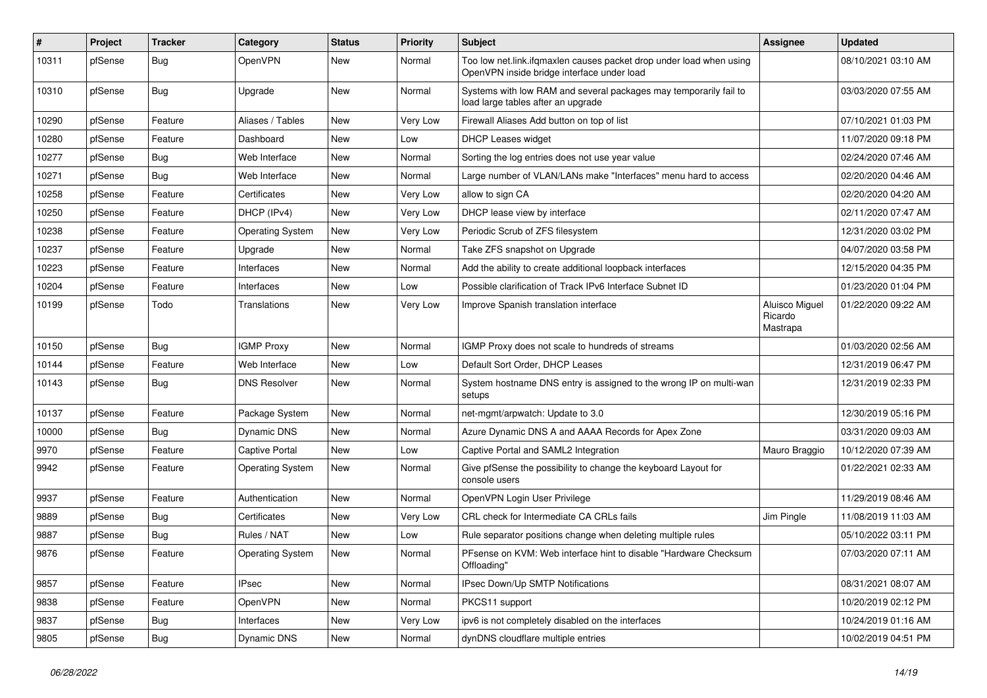| #     | Project | <b>Tracker</b> | Category                | <b>Status</b> | <b>Priority</b> | <b>Subject</b>                                                                                                    | <b>Assignee</b>                       | <b>Updated</b>      |
|-------|---------|----------------|-------------------------|---------------|-----------------|-------------------------------------------------------------------------------------------------------------------|---------------------------------------|---------------------|
| 10311 | pfSense | <b>Bug</b>     | OpenVPN                 | New           | Normal          | Too low net.link.ifqmaxlen causes packet drop under load when using<br>OpenVPN inside bridge interface under load |                                       | 08/10/2021 03:10 AM |
| 10310 | pfSense | <b>Bug</b>     | Upgrade                 | New           | Normal          | Systems with low RAM and several packages may temporarily fail to<br>load large tables after an upgrade           |                                       | 03/03/2020 07:55 AM |
| 10290 | pfSense | Feature        | Aliases / Tables        | New           | Very Low        | Firewall Aliases Add button on top of list                                                                        |                                       | 07/10/2021 01:03 PM |
| 10280 | pfSense | Feature        | Dashboard               | <b>New</b>    | Low             | <b>DHCP Leases widget</b>                                                                                         |                                       | 11/07/2020 09:18 PM |
| 10277 | pfSense | <b>Bug</b>     | Web Interface           | New           | Normal          | Sorting the log entries does not use year value                                                                   |                                       | 02/24/2020 07:46 AM |
| 10271 | pfSense | Bug            | Web Interface           | New           | Normal          | Large number of VLAN/LANs make "Interfaces" menu hard to access                                                   |                                       | 02/20/2020 04:46 AM |
| 10258 | pfSense | Feature        | Certificates            | New           | Very Low        | allow to sign CA                                                                                                  |                                       | 02/20/2020 04:20 AM |
| 10250 | pfSense | Feature        | DHCP (IPv4)             | New           | Very Low        | DHCP lease view by interface                                                                                      |                                       | 02/11/2020 07:47 AM |
| 10238 | pfSense | Feature        | <b>Operating System</b> | New           | Very Low        | Periodic Scrub of ZFS filesystem                                                                                  |                                       | 12/31/2020 03:02 PM |
| 10237 | pfSense | Feature        | Upgrade                 | New           | Normal          | Take ZFS snapshot on Upgrade                                                                                      |                                       | 04/07/2020 03:58 PM |
| 10223 | pfSense | Feature        | Interfaces              | New           | Normal          | Add the ability to create additional loopback interfaces                                                          |                                       | 12/15/2020 04:35 PM |
| 10204 | pfSense | Feature        | Interfaces              | New           | Low             | Possible clarification of Track IPv6 Interface Subnet ID                                                          |                                       | 01/23/2020 01:04 PM |
| 10199 | pfSense | Todo           | Translations            | New           | Very Low        | Improve Spanish translation interface                                                                             | Aluisco Miguel<br>Ricardo<br>Mastrapa | 01/22/2020 09:22 AM |
| 10150 | pfSense | Bug            | <b>IGMP Proxy</b>       | New           | Normal          | IGMP Proxy does not scale to hundreds of streams                                                                  |                                       | 01/03/2020 02:56 AM |
| 10144 | pfSense | Feature        | Web Interface           | New           | Low             | Default Sort Order, DHCP Leases                                                                                   |                                       | 12/31/2019 06:47 PM |
| 10143 | pfSense | <b>Bug</b>     | <b>DNS Resolver</b>     | New           | Normal          | System hostname DNS entry is assigned to the wrong IP on multi-wan<br>setups                                      |                                       | 12/31/2019 02:33 PM |
| 10137 | pfSense | Feature        | Package System          | New           | Normal          | net-mgmt/arpwatch: Update to 3.0                                                                                  |                                       | 12/30/2019 05:16 PM |
| 10000 | pfSense | <b>Bug</b>     | Dynamic DNS             | New           | Normal          | Azure Dynamic DNS A and AAAA Records for Apex Zone                                                                |                                       | 03/31/2020 09:03 AM |
| 9970  | pfSense | Feature        | <b>Captive Portal</b>   | New           | Low             | Captive Portal and SAML2 Integration                                                                              | Mauro Braggio                         | 10/12/2020 07:39 AM |
| 9942  | pfSense | Feature        | <b>Operating System</b> | New           | Normal          | Give pfSense the possibility to change the keyboard Layout for<br>console users                                   |                                       | 01/22/2021 02:33 AM |
| 9937  | pfSense | Feature        | Authentication          | New           | Normal          | OpenVPN Login User Privilege                                                                                      |                                       | 11/29/2019 08:46 AM |
| 9889  | pfSense | Bug            | Certificates            | New           | Very Low        | CRL check for Intermediate CA CRLs fails                                                                          | Jim Pingle                            | 11/08/2019 11:03 AM |
| 9887  | pfSense | Bug            | Rules / NAT             | New           | Low             | Rule separator positions change when deleting multiple rules                                                      |                                       | 05/10/2022 03:11 PM |
| 9876  | pfSense | Feature        | <b>Operating System</b> | New           | Normal          | PFsense on KVM: Web interface hint to disable "Hardware Checksum"<br>Offloading"                                  |                                       | 07/03/2020 07:11 AM |
| 9857  | pfSense | Feature        | <b>IPsec</b>            | New           | Normal          | IPsec Down/Up SMTP Notifications                                                                                  |                                       | 08/31/2021 08:07 AM |
| 9838  | pfSense | Feature        | OpenVPN                 | New           | Normal          | PKCS11 support                                                                                                    |                                       | 10/20/2019 02:12 PM |
| 9837  | pfSense | <b>Bug</b>     | Interfaces              | New           | Very Low        | ipv6 is not completely disabled on the interfaces                                                                 |                                       | 10/24/2019 01:16 AM |
| 9805  | pfSense | Bug            | Dynamic DNS             | New           | Normal          | dynDNS cloudflare multiple entries                                                                                |                                       | 10/02/2019 04:51 PM |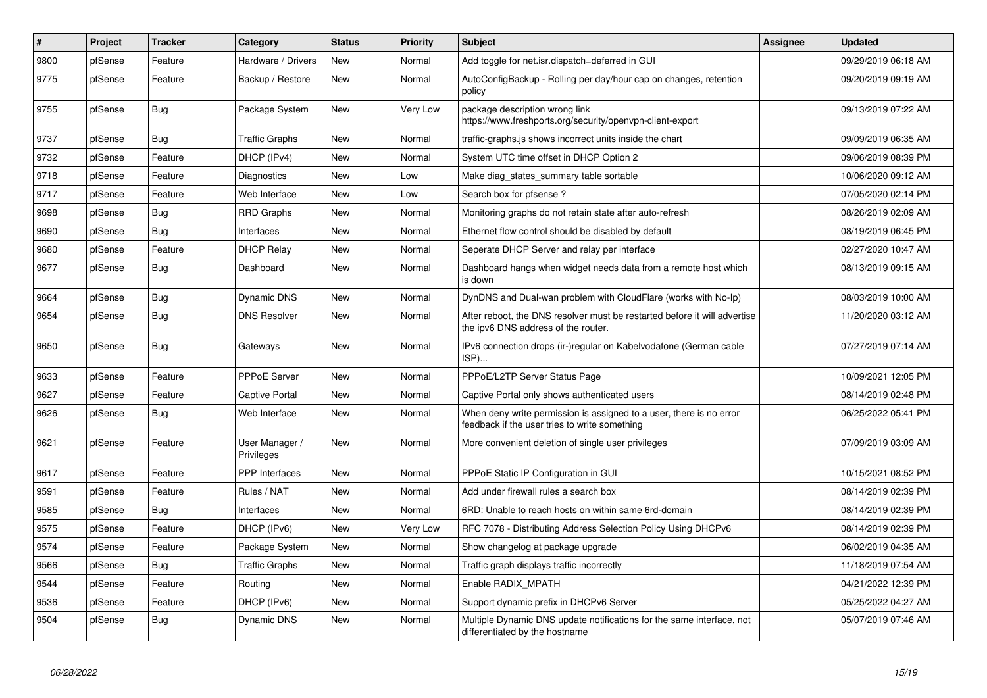| $\sharp$ | Project | <b>Tracker</b> | Category                     | <b>Status</b> | <b>Priority</b> | <b>Subject</b>                                                                                                       | <b>Assignee</b> | <b>Updated</b>      |
|----------|---------|----------------|------------------------------|---------------|-----------------|----------------------------------------------------------------------------------------------------------------------|-----------------|---------------------|
| 9800     | pfSense | Feature        | Hardware / Drivers           | <b>New</b>    | Normal          | Add toggle for net.isr.dispatch=deferred in GUI                                                                      |                 | 09/29/2019 06:18 AM |
| 9775     | pfSense | Feature        | Backup / Restore             | New           | Normal          | AutoConfigBackup - Rolling per day/hour cap on changes, retention<br>policy                                          |                 | 09/20/2019 09:19 AM |
| 9755     | pfSense | <b>Bug</b>     | Package System               | <b>New</b>    | Very Low        | package description wrong link<br>https://www.freshports.org/security/openvpn-client-export                          |                 | 09/13/2019 07:22 AM |
| 9737     | pfSense | <b>Bug</b>     | <b>Traffic Graphs</b>        | New           | Normal          | traffic-graphs is shows incorrect units inside the chart                                                             |                 | 09/09/2019 06:35 AM |
| 9732     | pfSense | Feature        | DHCP (IPv4)                  | New           | Normal          | System UTC time offset in DHCP Option 2                                                                              |                 | 09/06/2019 08:39 PM |
| 9718     | pfSense | Feature        | Diagnostics                  | New           | Low             | Make diag states summary table sortable                                                                              |                 | 10/06/2020 09:12 AM |
| 9717     | pfSense | Feature        | Web Interface                | New           | Low             | Search box for pfsense?                                                                                              |                 | 07/05/2020 02:14 PM |
| 9698     | pfSense | <b>Bug</b>     | <b>RRD Graphs</b>            | <b>New</b>    | Normal          | Monitoring graphs do not retain state after auto-refresh                                                             |                 | 08/26/2019 02:09 AM |
| 9690     | pfSense | <b>Bug</b>     | Interfaces                   | <b>New</b>    | Normal          | Ethernet flow control should be disabled by default                                                                  |                 | 08/19/2019 06:45 PM |
| 9680     | pfSense | Feature        | <b>DHCP Relay</b>            | New           | Normal          | Seperate DHCP Server and relay per interface                                                                         |                 | 02/27/2020 10:47 AM |
| 9677     | pfSense | <b>Bug</b>     | Dashboard                    | New           | Normal          | Dashboard hangs when widget needs data from a remote host which<br>is down                                           |                 | 08/13/2019 09:15 AM |
| 9664     | pfSense | Bug            | Dynamic DNS                  | New           | Normal          | DynDNS and Dual-wan problem with CloudFlare (works with No-Ip)                                                       |                 | 08/03/2019 10:00 AM |
| 9654     | pfSense | <b>Bug</b>     | <b>DNS Resolver</b>          | New           | Normal          | After reboot, the DNS resolver must be restarted before it will advertise<br>the ipv6 DNS address of the router.     |                 | 11/20/2020 03:12 AM |
| 9650     | pfSense | Bug            | Gateways                     | New           | Normal          | IPv6 connection drops (ir-)regular on Kabelvodafone (German cable<br>ISP)                                            |                 | 07/27/2019 07:14 AM |
| 9633     | pfSense | Feature        | <b>PPPoE Server</b>          | <b>New</b>    | Normal          | PPPoE/L2TP Server Status Page                                                                                        |                 | 10/09/2021 12:05 PM |
| 9627     | pfSense | Feature        | Captive Portal               | New           | Normal          | Captive Portal only shows authenticated users                                                                        |                 | 08/14/2019 02:48 PM |
| 9626     | pfSense | <b>Bug</b>     | Web Interface                | New           | Normal          | When deny write permission is assigned to a user, there is no error<br>feedback if the user tries to write something |                 | 06/25/2022 05:41 PM |
| 9621     | pfSense | Feature        | User Manager /<br>Privileges | <b>New</b>    | Normal          | More convenient deletion of single user privileges                                                                   |                 | 07/09/2019 03:09 AM |
| 9617     | pfSense | Feature        | <b>PPP</b> Interfaces        | New           | Normal          | PPPoE Static IP Configuration in GUI                                                                                 |                 | 10/15/2021 08:52 PM |
| 9591     | pfSense | Feature        | Rules / NAT                  | <b>New</b>    | Normal          | Add under firewall rules a search box                                                                                |                 | 08/14/2019 02:39 PM |
| 9585     | pfSense | Bug            | Interfaces                   | <b>New</b>    | Normal          | 6RD: Unable to reach hosts on within same 6rd-domain                                                                 |                 | 08/14/2019 02:39 PM |
| 9575     | pfSense | Feature        | DHCP (IPv6)                  | New           | Very Low        | RFC 7078 - Distributing Address Selection Policy Using DHCPv6                                                        |                 | 08/14/2019 02:39 PM |
| 9574     | pfSense | Feature        | Package System               | <b>New</b>    | Normal          | Show changelog at package upgrade                                                                                    |                 | 06/02/2019 04:35 AM |
| 9566     | pfSense | <b>Bug</b>     | <b>Traffic Graphs</b>        | <b>New</b>    | Normal          | Traffic graph displays traffic incorrectly                                                                           |                 | 11/18/2019 07:54 AM |
| 9544     | pfSense | Feature        | Routing                      | New           | Normal          | Enable RADIX_MPATH                                                                                                   |                 | 04/21/2022 12:39 PM |
| 9536     | pfSense | Feature        | DHCP (IPv6)                  | New           | Normal          | Support dynamic prefix in DHCPv6 Server                                                                              |                 | 05/25/2022 04:27 AM |
| 9504     | pfSense | Bug            | <b>Dynamic DNS</b>           | <b>New</b>    | Normal          | Multiple Dynamic DNS update notifications for the same interface, not<br>differentiated by the hostname              |                 | 05/07/2019 07:46 AM |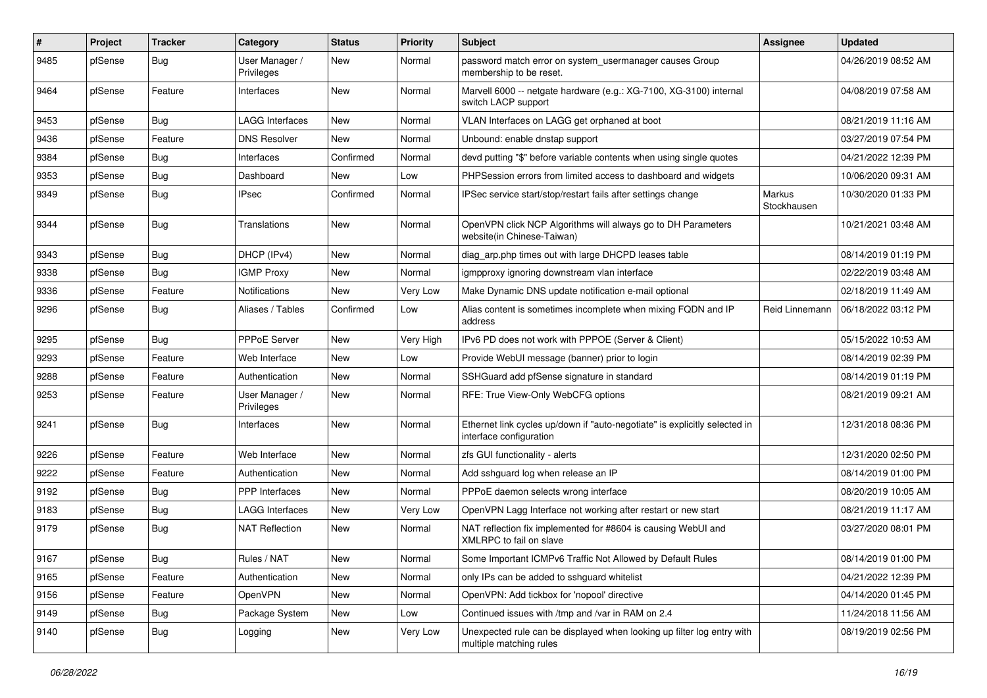| $\#$ | Project | <b>Tracker</b> | Category                     | <b>Status</b> | <b>Priority</b> | Subject                                                                                               | <b>Assignee</b>       | <b>Updated</b>      |
|------|---------|----------------|------------------------------|---------------|-----------------|-------------------------------------------------------------------------------------------------------|-----------------------|---------------------|
| 9485 | pfSense | Bug            | User Manager /<br>Privileges | New           | Normal          | password match error on system_usermanager causes Group<br>membership to be reset.                    |                       | 04/26/2019 08:52 AM |
| 9464 | pfSense | Feature        | Interfaces                   | New           | Normal          | Marvell 6000 -- netgate hardware (e.g.: XG-7100, XG-3100) internal<br>switch LACP support             |                       | 04/08/2019 07:58 AM |
| 9453 | pfSense | Bug            | <b>LAGG Interfaces</b>       | New           | Normal          | VLAN Interfaces on LAGG get orphaned at boot                                                          |                       | 08/21/2019 11:16 AM |
| 9436 | pfSense | Feature        | <b>DNS Resolver</b>          | New           | Normal          | Unbound: enable dnstap support                                                                        |                       | 03/27/2019 07:54 PM |
| 9384 | pfSense | <b>Bug</b>     | Interfaces                   | Confirmed     | Normal          | devd putting "\$" before variable contents when using single quotes                                   |                       | 04/21/2022 12:39 PM |
| 9353 | pfSense | Bug            | Dashboard                    | New           | Low             | PHPSession errors from limited access to dashboard and widgets                                        |                       | 10/06/2020 09:31 AM |
| 9349 | pfSense | Bug            | <b>IPsec</b>                 | Confirmed     | Normal          | IPSec service start/stop/restart fails after settings change                                          | Markus<br>Stockhausen | 10/30/2020 01:33 PM |
| 9344 | pfSense | Bug            | Translations                 | New           | Normal          | OpenVPN click NCP Algorithms will always go to DH Parameters<br>website(in Chinese-Taiwan)            |                       | 10/21/2021 03:48 AM |
| 9343 | pfSense | Bug            | DHCP (IPv4)                  | New           | Normal          | diag_arp.php times out with large DHCPD leases table                                                  |                       | 08/14/2019 01:19 PM |
| 9338 | pfSense | <b>Bug</b>     | <b>IGMP Proxy</b>            | New           | Normal          | igmpproxy ignoring downstream vlan interface                                                          |                       | 02/22/2019 03:48 AM |
| 9336 | pfSense | Feature        | Notifications                | New           | Very Low        | Make Dynamic DNS update notification e-mail optional                                                  |                       | 02/18/2019 11:49 AM |
| 9296 | pfSense | Bug            | Aliases / Tables             | Confirmed     | Low             | Alias content is sometimes incomplete when mixing FQDN and IP<br>address                              | Reid Linnemann        | 06/18/2022 03:12 PM |
| 9295 | pfSense | <b>Bug</b>     | PPPoE Server                 | New           | Very High       | IPv6 PD does not work with PPPOE (Server & Client)                                                    |                       | 05/15/2022 10:53 AM |
| 9293 | pfSense | Feature        | Web Interface                | New           | Low             | Provide WebUI message (banner) prior to login                                                         |                       | 08/14/2019 02:39 PM |
| 9288 | pfSense | Feature        | Authentication               | New           | Normal          | SSHGuard add pfSense signature in standard                                                            |                       | 08/14/2019 01:19 PM |
| 9253 | pfSense | Feature        | User Manager /<br>Privileges | New           | Normal          | RFE: True View-Only WebCFG options                                                                    |                       | 08/21/2019 09:21 AM |
| 9241 | pfSense | <b>Bug</b>     | Interfaces                   | New           | Normal          | Ethernet link cycles up/down if "auto-negotiate" is explicitly selected in<br>interface configuration |                       | 12/31/2018 08:36 PM |
| 9226 | pfSense | Feature        | Web Interface                | New           | Normal          | zfs GUI functionality - alerts                                                                        |                       | 12/31/2020 02:50 PM |
| 9222 | pfSense | Feature        | Authentication               | New           | Normal          | Add sshguard log when release an IP                                                                   |                       | 08/14/2019 01:00 PM |
| 9192 | pfSense | <b>Bug</b>     | PPP Interfaces               | New           | Normal          | PPPoE daemon selects wrong interface                                                                  |                       | 08/20/2019 10:05 AM |
| 9183 | pfSense | <b>Bug</b>     | LAGG Interfaces              | New           | Very Low        | OpenVPN Lagg Interface not working after restart or new start                                         |                       | 08/21/2019 11:17 AM |
| 9179 | pfSense | <b>Bug</b>     | <b>NAT Reflection</b>        | New           | Normal          | NAT reflection fix implemented for #8604 is causing WebUI and<br>XMLRPC to fail on slave              |                       | 03/27/2020 08:01 PM |
| 9167 | pfSense | <b>Bug</b>     | Rules / NAT                  | New           | Normal          | Some Important ICMPv6 Traffic Not Allowed by Default Rules                                            |                       | 08/14/2019 01:00 PM |
| 9165 | pfSense | Feature        | Authentication               | New           | Normal          | only IPs can be added to sshguard whitelist                                                           |                       | 04/21/2022 12:39 PM |
| 9156 | pfSense | Feature        | OpenVPN                      | New           | Normal          | OpenVPN: Add tickbox for 'nopool' directive                                                           |                       | 04/14/2020 01:45 PM |
| 9149 | pfSense | Bug            | Package System               | New           | Low             | Continued issues with /tmp and /var in RAM on 2.4                                                     |                       | 11/24/2018 11:56 AM |
| 9140 | pfSense | <b>Bug</b>     | Logging                      | New           | Very Low        | Unexpected rule can be displayed when looking up filter log entry with<br>multiple matching rules     |                       | 08/19/2019 02:56 PM |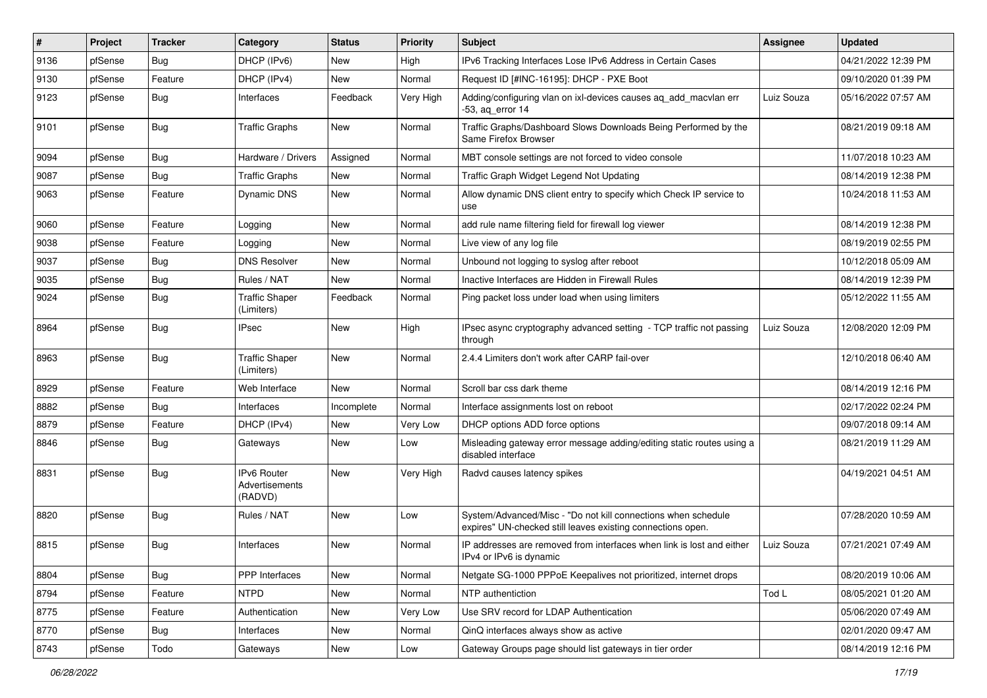| #    | Project | <b>Tracker</b> | Category                                 | <b>Status</b> | <b>Priority</b> | <b>Subject</b>                                                                                                               | <b>Assignee</b> | <b>Updated</b>      |
|------|---------|----------------|------------------------------------------|---------------|-----------------|------------------------------------------------------------------------------------------------------------------------------|-----------------|---------------------|
| 9136 | pfSense | <b>Bug</b>     | DHCP (IPv6)                              | New           | High            | IPv6 Tracking Interfaces Lose IPv6 Address in Certain Cases                                                                  |                 | 04/21/2022 12:39 PM |
| 9130 | pfSense | Feature        | DHCP (IPv4)                              | New           | Normal          | Request ID [#INC-16195]: DHCP - PXE Boot                                                                                     |                 | 09/10/2020 01:39 PM |
| 9123 | pfSense | Bug            | Interfaces                               | Feedback      | Very High       | Adding/configuring vlan on ixl-devices causes ag add macvlan err<br>-53, ag error 14                                         | Luiz Souza      | 05/16/2022 07:57 AM |
| 9101 | pfSense | Bug            | <b>Traffic Graphs</b>                    | New           | Normal          | Traffic Graphs/Dashboard Slows Downloads Being Performed by the<br>Same Firefox Browser                                      |                 | 08/21/2019 09:18 AM |
| 9094 | pfSense | Bug            | Hardware / Drivers                       | Assigned      | Normal          | MBT console settings are not forced to video console                                                                         |                 | 11/07/2018 10:23 AM |
| 9087 | pfSense | <b>Bug</b>     | <b>Traffic Graphs</b>                    | <b>New</b>    | Normal          | Traffic Graph Widget Legend Not Updating                                                                                     |                 | 08/14/2019 12:38 PM |
| 9063 | pfSense | Feature        | Dynamic DNS                              | New           | Normal          | Allow dynamic DNS client entry to specify which Check IP service to<br>use                                                   |                 | 10/24/2018 11:53 AM |
| 9060 | pfSense | Feature        | Logging                                  | New           | Normal          | add rule name filtering field for firewall log viewer                                                                        |                 | 08/14/2019 12:38 PM |
| 9038 | pfSense | Feature        | Logging                                  | New           | Normal          | Live view of any log file                                                                                                    |                 | 08/19/2019 02:55 PM |
| 9037 | pfSense | Bug            | <b>DNS Resolver</b>                      | New           | Normal          | Unbound not logging to syslog after reboot                                                                                   |                 | 10/12/2018 05:09 AM |
| 9035 | pfSense | Bug            | Rules / NAT                              | New           | Normal          | Inactive Interfaces are Hidden in Firewall Rules                                                                             |                 | 08/14/2019 12:39 PM |
| 9024 | pfSense | Bug            | <b>Traffic Shaper</b><br>(Limiters)      | Feedback      | Normal          | Ping packet loss under load when using limiters                                                                              |                 | 05/12/2022 11:55 AM |
| 8964 | pfSense | Bug            | <b>IPsec</b>                             | New           | High            | IPsec async cryptography advanced setting - TCP traffic not passing<br>through                                               | Luiz Souza      | 12/08/2020 12:09 PM |
| 8963 | pfSense | <b>Bug</b>     | <b>Traffic Shaper</b><br>(Limiters)      | <b>New</b>    | Normal          | 2.4.4 Limiters don't work after CARP fail-over                                                                               |                 | 12/10/2018 06:40 AM |
| 8929 | pfSense | Feature        | Web Interface                            | New           | Normal          | Scroll bar css dark theme                                                                                                    |                 | 08/14/2019 12:16 PM |
| 8882 | pfSense | Bug            | Interfaces                               | Incomplete    | Normal          | Interface assignments lost on reboot                                                                                         |                 | 02/17/2022 02:24 PM |
| 8879 | pfSense | Feature        | DHCP (IPv4)                              | New           | Very Low        | DHCP options ADD force options                                                                                               |                 | 09/07/2018 09:14 AM |
| 8846 | pfSense | Bug            | Gateways                                 | New           | Low             | Misleading gateway error message adding/editing static routes using a<br>disabled interface                                  |                 | 08/21/2019 11:29 AM |
| 8831 | pfSense | Bug            | IPv6 Router<br>Advertisements<br>(RADVD) | New           | Very High       | Radvd causes latency spikes                                                                                                  |                 | 04/19/2021 04:51 AM |
| 8820 | pfSense | Bug            | Rules / NAT                              | New           | Low             | System/Advanced/Misc - "Do not kill connections when schedule<br>expires" UN-checked still leaves existing connections open. |                 | 07/28/2020 10:59 AM |
| 8815 | pfSense | Bug            | Interfaces                               | New           | Normal          | IP addresses are removed from interfaces when link is lost and either<br>IPv4 or IPv6 is dynamic                             | Luiz Souza      | 07/21/2021 07:49 AM |
| 8804 | pfSense | Bug            | PPP Interfaces                           | New           | Normal          | Netgate SG-1000 PPPoE Keepalives not prioritized, internet drops                                                             |                 | 08/20/2019 10:06 AM |
| 8794 | pfSense | Feature        | <b>NTPD</b>                              | New           | Normal          | NTP authentiction                                                                                                            | Tod L           | 08/05/2021 01:20 AM |
| 8775 | pfSense | Feature        | Authentication                           | New           | Very Low        | Use SRV record for LDAP Authentication                                                                                       |                 | 05/06/2020 07:49 AM |
| 8770 | pfSense | <b>Bug</b>     | Interfaces                               | New           | Normal          | QinQ interfaces always show as active                                                                                        |                 | 02/01/2020 09:47 AM |
| 8743 | pfSense | Todo           | Gateways                                 | New           | Low             | Gateway Groups page should list gateways in tier order                                                                       |                 | 08/14/2019 12:16 PM |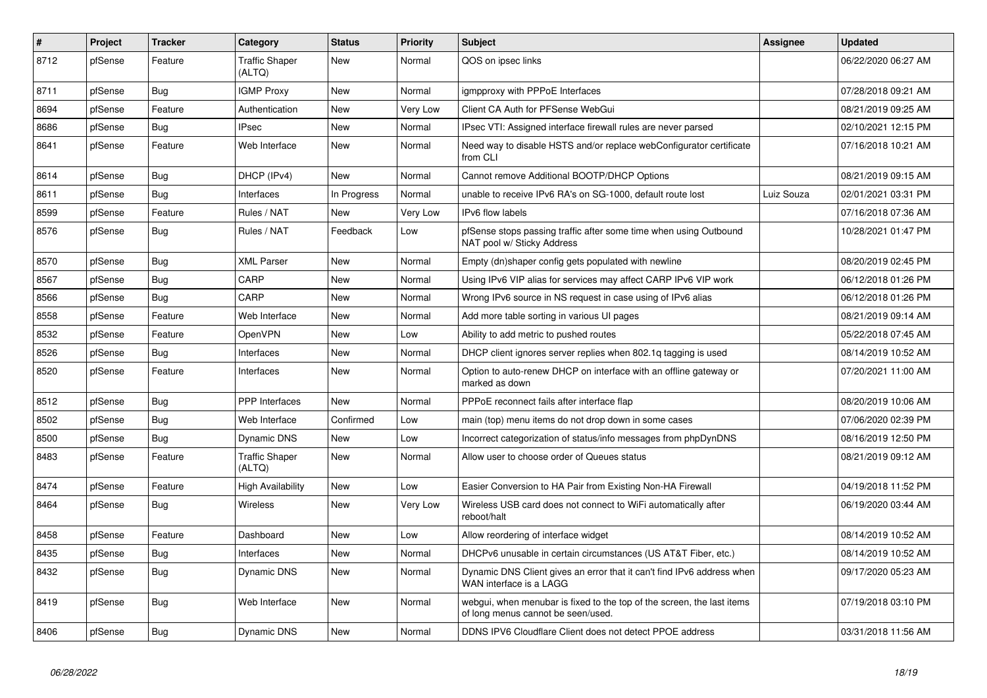| #    | Project | <b>Tracker</b> | Category                        | <b>Status</b> | <b>Priority</b> | <b>Subject</b>                                                                                               | <b>Assignee</b> | <b>Updated</b>      |
|------|---------|----------------|---------------------------------|---------------|-----------------|--------------------------------------------------------------------------------------------------------------|-----------------|---------------------|
| 8712 | pfSense | Feature        | <b>Traffic Shaper</b><br>(ALTQ) | New           | Normal          | QOS on ipsec links                                                                                           |                 | 06/22/2020 06:27 AM |
| 8711 | pfSense | <b>Bug</b>     | <b>IGMP Proxy</b>               | New           | Normal          | igmpproxy with PPPoE Interfaces                                                                              |                 | 07/28/2018 09:21 AM |
| 8694 | pfSense | Feature        | Authentication                  | New           | Very Low        | Client CA Auth for PFSense WebGui                                                                            |                 | 08/21/2019 09:25 AM |
| 8686 | pfSense | <b>Bug</b>     | <b>IPsec</b>                    | New           | Normal          | IPsec VTI: Assigned interface firewall rules are never parsed                                                |                 | 02/10/2021 12:15 PM |
| 8641 | pfSense | Feature        | Web Interface                   | New           | Normal          | Need way to disable HSTS and/or replace webConfigurator certificate<br>from CLI                              |                 | 07/16/2018 10:21 AM |
| 8614 | pfSense | <b>Bug</b>     | DHCP (IPv4)                     | <b>New</b>    | Normal          | Cannot remove Additional BOOTP/DHCP Options                                                                  |                 | 08/21/2019 09:15 AM |
| 8611 | pfSense | <b>Bug</b>     | Interfaces                      | In Progress   | Normal          | unable to receive IPv6 RA's on SG-1000, default route lost                                                   | Luiz Souza      | 02/01/2021 03:31 PM |
| 8599 | pfSense | Feature        | Rules / NAT                     | New           | Very Low        | IPv6 flow labels                                                                                             |                 | 07/16/2018 07:36 AM |
| 8576 | pfSense | Bug            | Rules / NAT                     | Feedback      | Low             | pfSense stops passing traffic after some time when using Outbound<br>NAT pool w/ Sticky Address              |                 | 10/28/2021 01:47 PM |
| 8570 | pfSense | <b>Bug</b>     | <b>XML Parser</b>               | New           | Normal          | Empty (dn)shaper config gets populated with newline                                                          |                 | 08/20/2019 02:45 PM |
| 8567 | pfSense | <b>Bug</b>     | CARP                            | New           | Normal          | Using IPv6 VIP alias for services may affect CARP IPv6 VIP work                                              |                 | 06/12/2018 01:26 PM |
| 8566 | pfSense | <b>Bug</b>     | CARP                            | <b>New</b>    | Normal          | Wrong IPv6 source in NS request in case using of IPv6 alias                                                  |                 | 06/12/2018 01:26 PM |
| 8558 | pfSense | Feature        | Web Interface                   | New           | Normal          | Add more table sorting in various UI pages                                                                   |                 | 08/21/2019 09:14 AM |
| 8532 | pfSense | Feature        | OpenVPN                         | New           | Low             | Ability to add metric to pushed routes                                                                       |                 | 05/22/2018 07:45 AM |
| 8526 | pfSense | <b>Bug</b>     | Interfaces                      | New           | Normal          | DHCP client ignores server replies when 802.1q tagging is used                                               |                 | 08/14/2019 10:52 AM |
| 8520 | pfSense | Feature        | Interfaces                      | New           | Normal          | Option to auto-renew DHCP on interface with an offline gateway or<br>marked as down                          |                 | 07/20/2021 11:00 AM |
| 8512 | pfSense | <b>Bug</b>     | PPP Interfaces                  | <b>New</b>    | Normal          | PPPoE reconnect fails after interface flap                                                                   |                 | 08/20/2019 10:06 AM |
| 8502 | pfSense | Bug            | Web Interface                   | Confirmed     | Low             | main (top) menu items do not drop down in some cases                                                         |                 | 07/06/2020 02:39 PM |
| 8500 | pfSense | <b>Bug</b>     | Dynamic DNS                     | New           | Low             | Incorrect categorization of status/info messages from phpDynDNS                                              |                 | 08/16/2019 12:50 PM |
| 8483 | pfSense | Feature        | <b>Traffic Shaper</b><br>(ALTQ) | <b>New</b>    | Normal          | Allow user to choose order of Queues status                                                                  |                 | 08/21/2019 09:12 AM |
| 8474 | pfSense | Feature        | <b>High Availability</b>        | New           | Low             | Easier Conversion to HA Pair from Existing Non-HA Firewall                                                   |                 | 04/19/2018 11:52 PM |
| 8464 | pfSense | <b>Bug</b>     | <b>Wireless</b>                 | <b>New</b>    | Very Low        | Wireless USB card does not connect to WiFi automatically after<br>reboot/halt                                |                 | 06/19/2020 03:44 AM |
| 8458 | pfSense | Feature        | Dashboard                       | <b>New</b>    | Low             | Allow reordering of interface widget                                                                         |                 | 08/14/2019 10:52 AM |
| 8435 | pfSense | <b>Bug</b>     | Interfaces                      | <b>New</b>    | Normal          | DHCPv6 unusable in certain circumstances (US AT&T Fiber, etc.)                                               |                 | 08/14/2019 10:52 AM |
| 8432 | pfSense | Bug            | Dynamic DNS                     | <b>New</b>    | Normal          | Dynamic DNS Client gives an error that it can't find IPv6 address when<br>WAN interface is a LAGG            |                 | 09/17/2020 05:23 AM |
| 8419 | pfSense | <b>Bug</b>     | Web Interface                   | <b>New</b>    | Normal          | webgui, when menubar is fixed to the top of the screen, the last items<br>of long menus cannot be seen/used. |                 | 07/19/2018 03:10 PM |
| 8406 | pfSense | <b>Bug</b>     | Dynamic DNS                     | New           | Normal          | DDNS IPV6 Cloudflare Client does not detect PPOE address                                                     |                 | 03/31/2018 11:56 AM |